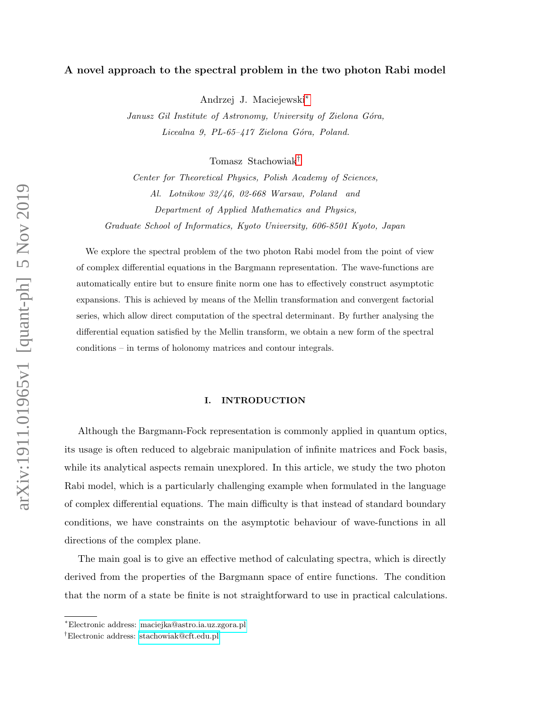# A novel approach to the spectral problem in the two photon Rabi model

Andrzej J. Maciejewski[∗](#page-0-0)

Janusz Gil Institute of Astronomy, University of Zielona Góra, Licealna 9, PL-65-417 Zielona Góra, Poland.

Tomasz Stachowiak[†](#page-0-1)

Center for Theoretical Physics, Polish Academy of Sciences, Al. Lotnikow 32/46, 02-668 Warsaw, Poland and Department of Applied Mathematics and Physics, Graduate School of Informatics, Kyoto University, 606-8501 Kyoto, Japan

We explore the spectral problem of the two photon Rabi model from the point of view of complex differential equations in the Bargmann representation. The wave-functions are automatically entire but to ensure finite norm one has to effectively construct asymptotic expansions. This is achieved by means of the Mellin transformation and convergent factorial series, which allow direct computation of the spectral determinant. By further analysing the differential equation satisfied by the Mellin transform, we obtain a new form of the spectral conditions – in terms of holonomy matrices and contour integrals.

# I. INTRODUCTION

Although the Bargmann-Fock representation is commonly applied in quantum optics, its usage is often reduced to algebraic manipulation of infinite matrices and Fock basis, while its analytical aspects remain unexplored. In this article, we study the two photon Rabi model, which is a particularly challenging example when formulated in the language of complex differential equations. The main difficulty is that instead of standard boundary conditions, we have constraints on the asymptotic behaviour of wave-functions in all directions of the complex plane.

The main goal is to give an effective method of calculating spectra, which is directly derived from the properties of the Bargmann space of entire functions. The condition that the norm of a state be finite is not straightforward to use in practical calculations.

<span id="page-0-1"></span><span id="page-0-0"></span><sup>∗</sup>Electronic address: [maciejka@astro.ia.uz.zgora.pl](mailto:maciejka@astro.ia.uz.zgora.pl)

<sup>†</sup>Electronic address: [stachowiak@cft.edu.pl](mailto:stachowiak@cft.edu.pl)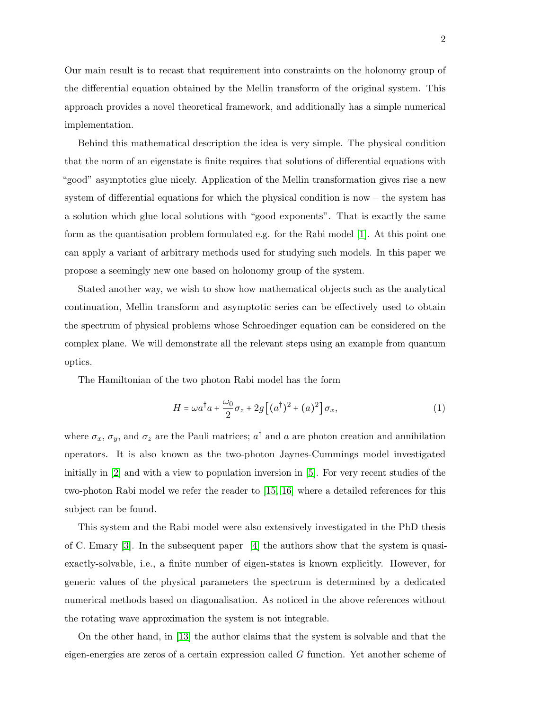Our main result is to recast that requirement into constraints on the holonomy group of the differential equation obtained by the Mellin transform of the original system. This approach provides a novel theoretical framework, and additionally has a simple numerical implementation.

Behind this mathematical description the idea is very simple. The physical condition that the norm of an eigenstate is finite requires that solutions of differential equations with "good" asymptotics glue nicely. Application of the Mellin transformation gives rise a new system of differential equations for which the physical condition is now – the system has a solution which glue local solutions with "good exponents". That is exactly the same form as the quantisation problem formulated e.g. for the Rabi model [\[1\]](#page-26-0). At this point one can apply a variant of arbitrary methods used for studying such models. In this paper we propose a seemingly new one based on holonomy group of the system.

Stated another way, we wish to show how mathematical objects such as the analytical continuation, Mellin transform and asymptotic series can be effectively used to obtain the spectrum of physical problems whose Schroedinger equation can be considered on the complex plane. We will demonstrate all the relevant steps using an example from quantum optics.

The Hamiltonian of the two photon Rabi model has the form

<span id="page-1-0"></span>
$$
H = \omega a^{\dagger} a + \frac{\omega_0}{2} \sigma_z + 2g \left[ (a^{\dagger})^2 + (a)^2 \right] \sigma_x, \tag{1}
$$

where  $\sigma_x$ ,  $\sigma_y$ , and  $\sigma_z$  are the Pauli matrices;  $a^{\dagger}$  and a are photon creation and annihilation operators. It is also known as the two-photon Jaynes-Cummings model investigated initially in [\[2\]](#page-26-1) and with a view to population inversion in [\[5\]](#page-26-2). For very recent studies of the two-photon Rabi model we refer the reader to [\[15,](#page-27-0) [16\]](#page-27-1) where a detailed references for this subject can be found.

This system and the Rabi model were also extensively investigated in the PhD thesis of C. Emary [\[3\]](#page-26-3). In the subsequent paper [\[4\]](#page-26-4) the authors show that the system is quasiexactly-solvable, i.e., a finite number of eigen-states is known explicitly. However, for generic values of the physical parameters the spectrum is determined by a dedicated numerical methods based on diagonalisation. As noticed in the above references without the rotating wave approximation the system is not integrable.

On the other hand, in [\[13\]](#page-26-5) the author claims that the system is solvable and that the eigen-energies are zeros of a certain expression called G function. Yet another scheme of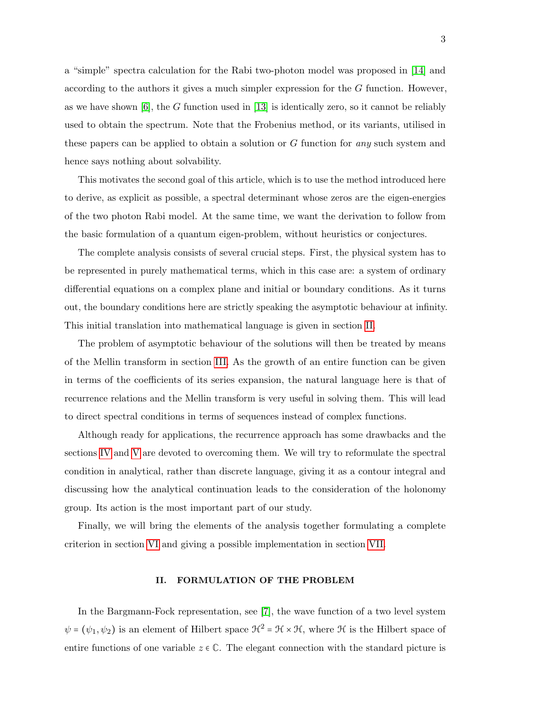a "simple" spectra calculation for the Rabi two-photon model was proposed in [\[14\]](#page-27-2) and according to the authors it gives a much simpler expression for the G function. However, as we have shown  $[6]$ , the G function used in  $[13]$  is identically zero, so it cannot be reliably used to obtain the spectrum. Note that the Frobenius method, or its variants, utilised in these papers can be applied to obtain a solution or G function for any such system and hence says nothing about solvability.

This motivates the second goal of this article, which is to use the method introduced here to derive, as explicit as possible, a spectral determinant whose zeros are the eigen-energies of the two photon Rabi model. At the same time, we want the derivation to follow from the basic formulation of a quantum eigen-problem, without heuristics or conjectures.

The complete analysis consists of several crucial steps. First, the physical system has to be represented in purely mathematical terms, which in this case are: a system of ordinary differential equations on a complex plane and initial or boundary conditions. As it turns out, the boundary conditions here are strictly speaking the asymptotic behaviour at infinity. This initial translation into mathematical language is given in section [II.](#page-2-0)

The problem of asymptotic behaviour of the solutions will then be treated by means of the Mellin transform in section [III.](#page-7-0) As the growth of an entire function can be given in terms of the coefficients of its series expansion, the natural language here is that of recurrence relations and the Mellin transform is very useful in solving them. This will lead to direct spectral conditions in terms of sequences instead of complex functions.

Although ready for applications, the recurrence approach has some drawbacks and the sections [IV](#page-10-0) and [V](#page-12-0) are devoted to overcoming them. We will try to reformulate the spectral condition in analytical, rather than discrete language, giving it as a contour integral and discussing how the analytical continuation leads to the consideration of the holonomy group. Its action is the most important part of our study.

Finally, we will bring the elements of the analysis together formulating a complete criterion in section [VI](#page-13-0) and giving a possible implementation in section [VII.](#page-16-0)

# <span id="page-2-0"></span>II. FORMULATION OF THE PROBLEM

In the Bargmann-Fock representation, see [\[7\]](#page-26-7), the wave function of a two level system  $\psi = (\psi_1, \psi_2)$  is an element of Hilbert space  $\mathcal{H}^2 = \mathcal{H} \times \mathcal{H}$ , where  $\mathcal{H}$  is the Hilbert space of entire functions of one variable  $z \in \mathbb{C}$ . The elegant connection with the standard picture is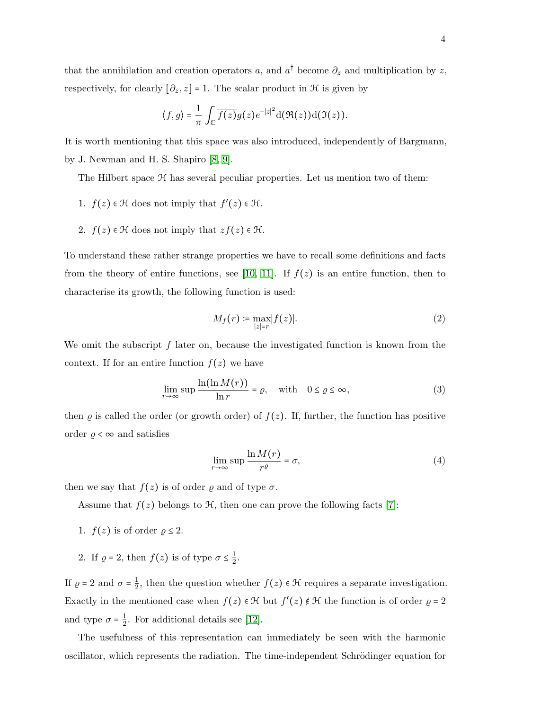that the annihilation and creation operators a, and  $a^{\dagger}$  become  $\partial_z$  and multiplication by z, respectively, for clearly  $[\partial_z, z] = 1$ . The scalar product in  $\mathcal H$  is given by

$$
\langle f,g\rangle = \frac{1}{\pi}\int_{\mathbb{C}}\overline{f(z)}g(z)e^{-|z|^2}\mathrm{d}(\Re(z))\mathrm{d}(\Im(z)).
$$

It is worth mentioning that this space was also introduced, independently of Bargmann, by J. Newman and H. S. Shapiro [\[8,](#page-26-8) [9\]](#page-26-9).

The Hilbert space  $H$  has several peculiar properties. Let us mention two of them:

- 1.  $f(z) \in \mathcal{H}$  does not imply that  $f'(z) \in \mathcal{H}$ .
- 2.  $f(z) \in \mathcal{H}$  does not imply that  $zf(z) \in \mathcal{H}$ .

To understand these rather strange properties we have to recall some definitions and facts from the theory of entire functions, see [\[10,](#page-26-10) [11\]](#page-26-11). If  $f(z)$  is an entire function, then to characterise its growth, the following function is used:

$$
M_f(r) \coloneqq \max_{|z|=r} |f(z)|. \tag{2}
$$

We omit the subscript  $f$  later on, because the investigated function is known from the context. If for an entire function  $f(z)$  we have

$$
\lim_{r \to \infty} \sup \frac{\ln(\ln M(r))}{\ln r} = \varrho, \quad \text{with} \quad 0 \le \varrho \le \infty,
$$
\n(3)

then  $\rho$  is called the order (or growth order) of  $f(z)$ . If, further, the function has positive order  $\rho < \infty$  and satisfies

$$
\lim_{r \to \infty} \sup \frac{\ln M(r)}{r^{\varrho}} = \sigma,\tag{4}
$$

then we say that  $f(z)$  is of order  $\varrho$  and of type  $\sigma$ .

Assume that  $f(z)$  belongs to  $\mathcal{H}$ , then one can prove the following facts [\[7\]](#page-26-7):

- 1.  $f(z)$  is of order  $\rho \leq 2$ .
- 2. If  $\varrho = 2$ , then  $f(z)$  is of type  $\sigma \leq \frac{1}{2}$  $\frac{1}{2}$ .

If  $\rho = 2$  and  $\sigma = \frac{1}{2}$  $\frac{1}{2}$ , then the question whether  $f(z) \in \mathcal{H}$  requires a separate investigation. Exactly in the mentioned case when  $f(z) \in \mathcal{H}$  but  $f'(z) \notin \mathcal{H}$  the function is of order  $\varrho = 2$ and type  $\sigma = \frac{1}{2}$  $\frac{1}{2}$ . For additional details see [\[12\]](#page-26-12).

The usefulness of this representation can immediately be seen with the harmonic oscillator, which represents the radiation. The time-independent Schrödinger equation for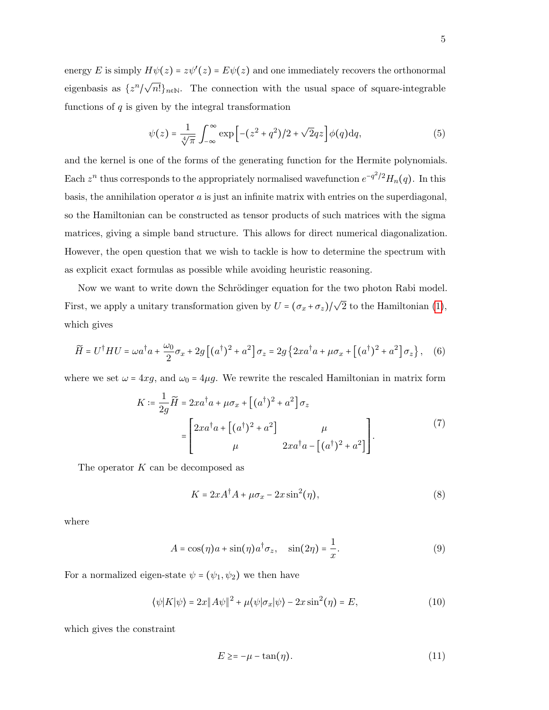energy E is simply  $H\psi(z) = z\psi'(z) = E\psi(z)$  and one immediately recovers the orthonormal eigenbasis as  $\{z^n\}$ /  $\sqrt{n!}$ <sub>n</sub><sub>∈</sub>N. The connection with the usual space of square-integrable functions of  $q$  is given by the integral transformation

$$
\psi(z) = \frac{1}{\sqrt[4]{\pi}} \int_{-\infty}^{\infty} \exp\left[-(z^2 + q^2)/2 + \sqrt{2}qz\right] \phi(q) \mathrm{d}q,\tag{5}
$$

and the kernel is one of the forms of the generating function for the Hermite polynomials. Each  $z^n$  thus corresponds to the appropriately normalised wavefunction  $e^{-q^2/2}H_n(q)$ . In this basis, the annihilation operator  $a$  is just an infinite matrix with entries on the superdiagonal, so the Hamiltonian can be constructed as tensor products of such matrices with the sigma matrices, giving a simple band structure. This allows for direct numerical diagonalization. However, the open question that we wish to tackle is how to determine the spectrum with as explicit exact formulas as possible while avoiding heuristic reasoning.

Now we want to write down the Schrödinger equation for the two photon Rabi model. First, we apply a unitary transformation given by  $U = (\sigma_x + \sigma_z)/\sqrt{2}$  to the Hamiltonian [\(1\)](#page-1-0), which gives

$$
\widetilde{H} = U^{\dagger} H U = \omega a^{\dagger} a + \frac{\omega_0}{2} \sigma_x + 2g \left[ (a^{\dagger})^2 + a^2 \right] \sigma_z = 2g \left\{ 2x a^{\dagger} a + \mu \sigma_x + \left[ (a^{\dagger})^2 + a^2 \right] \sigma_z \right\}, \quad (6)
$$

where we set  $\omega = 4xg$ , and  $\omega_0 = 4\mu g$ . We rewrite the rescaled Hamiltonian in matrix form

$$
K \coloneqq \frac{1}{2g} \widetilde{H} = 2xa^{\dagger}a + \mu \sigma_x + \left[ (a^{\dagger})^2 + a^2 \right] \sigma_z
$$

$$
= \begin{bmatrix} 2xa^{\dagger}a + \left[ (a^{\dagger})^2 + a^2 \right] & \mu \\ \mu & 2xa^{\dagger}a - \left[ (a^{\dagger})^2 + a^2 \right] \end{bmatrix} . \tag{7}
$$

The operator  $K$  can be decomposed as

$$
K = 2xA^{\dagger}A + \mu \sigma_x - 2x\sin^2(\eta),\tag{8}
$$

where

$$
A = \cos(\eta)a + \sin(\eta)a^{\dagger}\sigma_z, \quad \sin(2\eta) = \frac{1}{x}.
$$
 (9)

For a normalized eigen-state  $\psi = (\psi_1, \psi_2)$  we then have

$$
\langle \psi | K | \psi \rangle = 2x \| A \psi \|^2 + \mu \langle \psi | \sigma_x | \psi \rangle - 2x \sin^2(\eta) = E,\tag{10}
$$

which gives the constraint

<span id="page-4-0"></span>
$$
E \geq -\mu - \tan(\eta). \tag{11}
$$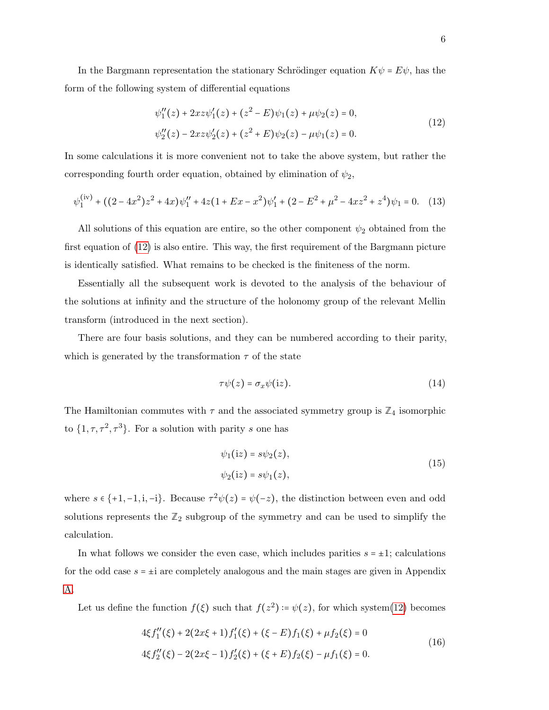In the Bargmann representation the stationary Schrödinger equation  $K\psi = E\psi$ , has the form of the following system of differential equations

<span id="page-5-0"></span>
$$
\psi_1''(z) + 2xz\psi_1'(z) + (z^2 - E)\psi_1(z) + \mu\psi_2(z) = 0,
$$
  

$$
\psi_2''(z) - 2xz\psi_2'(z) + (z^2 + E)\psi_2(z) - \mu\psi_1(z) = 0.
$$
 (12)

In some calculations it is more convenient not to take the above system, but rather the corresponding fourth order equation, obtained by elimination of  $\psi_2$ ,

<span id="page-5-1"></span>
$$
\psi_1^{(iv)} + ((2 - 4x^2)z^2 + 4x)\psi_1'' + 4z(1 + Ex - x^2)\psi_1' + (2 - E^2 + \mu^2 - 4xz^2 + z^4)\psi_1 = 0. \tag{13}
$$

All solutions of this equation are entire, so the other component  $\psi_2$  obtained from the first equation of [\(12\)](#page-5-0) is also entire. This way, the first requirement of the Bargmann picture is identically satisfied. What remains to be checked is the finiteness of the norm.

Essentially all the subsequent work is devoted to the analysis of the behaviour of the solutions at infinity and the structure of the holonomy group of the relevant Mellin transform (introduced in the next section).

There are four basis solutions, and they can be numbered according to their parity, which is generated by the transformation  $\tau$  of the state

$$
\tau\psi(z) = \sigma_x\psi(\mathrm{i}z). \tag{14}
$$

The Hamiltonian commutes with  $\tau$  and the associated symmetry group is  $\mathbb{Z}_4$  isomorphic to  $\{1, \tau, \tau^2, \tau^3\}$ . For a solution with parity s one has

$$
\psi_1(iz) = s\psi_2(z),
$$
  
\n
$$
\psi_2(iz) = s\psi_1(z),
$$
\n(15)

where  $s \in \{+1, -1, i, -i\}$ . Because  $\tau^2 \psi(z) = \psi(-z)$ , the distinction between even and odd solutions represents the  $\mathbb{Z}_2$  subgroup of the symmetry and can be used to simplify the calculation.

In what follows we consider the even case, which includes parities  $s = \pm 1$ ; calculations for the odd case  $s = \pm i$  are completely analogous and the main stages are given in Appendix [A.](#page-19-0)

Let us define the function  $f(\xi)$  such that  $f(z^2) = \psi(z)$ , for which system[\(12\)](#page-5-0) becomes

$$
4\xi f_1''(\xi) + 2(2x\xi + 1)f_1'(\xi) + (\xi - E)f_1(\xi) + \mu f_2(\xi) = 0
$$
  

$$
4\xi f_2''(\xi) - 2(2x\xi - 1)f_2'(\xi) + (\xi + E)f_2(\xi) - \mu f_1(\xi) = 0.
$$
 (16)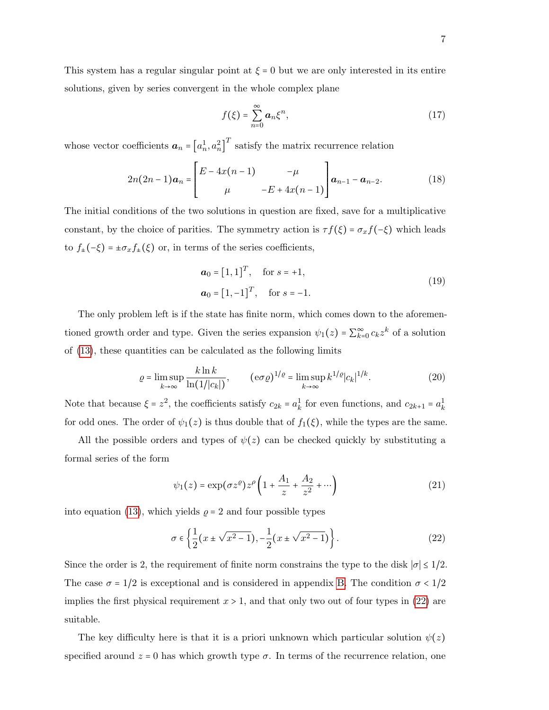This system has a regular singular point at  $\xi = 0$  but we are only interested in its entire solutions, given by series convergent in the whole complex plane

<span id="page-6-3"></span>
$$
f(\xi) = \sum_{n=0}^{\infty} a_n \xi^n,
$$
 (17)

whose vector coefficients  $a_n = [a_n^1, a_n^2]$  $T$  satisfy the matrix recurrence relation

<span id="page-6-4"></span>
$$
2n(2n-1)a_n = \begin{bmatrix} E - 4x(n-1) & -\mu \\ \mu & -E + 4x(n-1) \end{bmatrix} a_{n-1} - a_{n-2}.
$$
 (18)

The initial conditions of the two solutions in question are fixed, save for a multiplicative constant, by the choice of parities. The symmetry action is  $\tau f(\xi) = \sigma_x f(-\xi)$  which leads to  $f_{\pm}(-\xi)=\pm\sigma_x f_{\pm}(\xi)$  or, in terms of the series coefficients,

<span id="page-6-1"></span>
$$
\mathbf{a}_0 = [1, 1]^T, \quad \text{for } s = +1,
$$
  

$$
\mathbf{a}_0 = [1, -1]^T, \quad \text{for } s = -1.
$$
 (19)

The only problem left is if the state has finite norm, which comes down to the aforementioned growth order and type. Given the series expansion  $\psi_1(z) = \sum_{k=0}^{\infty} c_k z^k$  of a solution of [\(13\)](#page-5-1), these quantities can be calculated as the following limits

<span id="page-6-2"></span>
$$
\varrho = \limsup_{k \to \infty} \frac{k \ln k}{\ln(1/|c_k|)}, \qquad (\mathrm{e} \sigma \varrho)^{1/\varrho} = \limsup_{k \to \infty} k^{1/\varrho} |c_k|^{1/k}.
$$
 (20)

Note that because  $\xi = z^2$ , the coefficients satisfy  $c_{2k} = a_k^1$  for even functions, and  $c_{2k+1} = a_k^1$ for odd ones. The order of  $\psi_1(z)$  is thus double that of  $f_1(\xi)$ , while the types are the same.

All the possible orders and types of  $\psi(z)$  can be checked quickly by substituting a formal series of the form

$$
\psi_1(z) = \exp(\sigma z^{\rho}) z^{\rho} \left( 1 + \frac{A_1}{z} + \frac{A_2}{z^2} + \cdots \right) \tag{21}
$$

into equation [\(13\)](#page-5-1), which yields  $\rho = 2$  and four possible types

<span id="page-6-0"></span>
$$
\sigma \in \left\{ \frac{1}{2} (x \pm \sqrt{x^2 - 1}), -\frac{1}{2} (x \pm \sqrt{x^2 - 1}) \right\}.
$$
 (22)

Since the order is 2, the requirement of finite norm constrains the type to the disk  $|\sigma| \leq 1/2$ . The case  $\sigma = 1/2$  is exceptional and is considered in appendix [B.](#page-20-0) The condition  $\sigma < 1/2$ implies the first physical requirement  $x > 1$ , and that only two out of four types in [\(22\)](#page-6-0) are suitable.

The key difficulty here is that it is a priori unknown which particular solution  $\psi(z)$ specified around  $z = 0$  has which growth type  $\sigma$ . In terms of the recurrence relation, one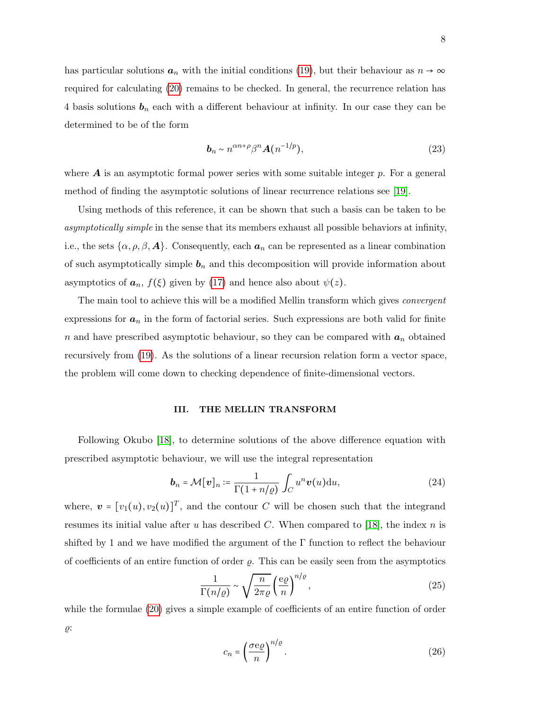has particular solutions  $a_n$  with the initial conditions [\(19\)](#page-6-1), but their behaviour as  $n \to \infty$ required for calculating [\(20\)](#page-6-2) remains to be checked. In general, the recurrence relation has 4 basis solutions  $\mathbf{b}_n$  each with a different behaviour at infinity. In our case they can be determined to be of the form

$$
\boldsymbol{b}_n \sim n^{\alpha n + \rho} \beta^n \boldsymbol{A}(n^{-1/p}), \tag{23}
$$

where  $\bm{A}$  is an asymptotic formal power series with some suitable integer  $p$ . For a general method of finding the asymptotic solutions of linear recurrence relations see [\[19\]](#page-27-3).

Using methods of this reference, it can be shown that such a basis can be taken to be asymptotically simple in the sense that its members exhaust all possible behaviors at infinity, i.e., the sets  $\{\alpha, \rho, \beta, \mathbf{A}\}\$ . Consequently, each  $a_n$  can be represented as a linear combination of such asymptotically simple  $\mathbf{b}_n$  and this decomposition will provide information about asymptotics of  $a_n$ ,  $f(\xi)$  given by [\(17\)](#page-6-3) and hence also about  $\psi(z)$ .

The main tool to achieve this will be a modified Mellin transform which gives *convergent* expressions for  $a_n$  in the form of factorial series. Such expressions are both valid for finite n and have prescribed asymptotic behaviour, so they can be compared with  $a_n$  obtained recursively from [\(19\)](#page-6-1). As the solutions of a linear recursion relation form a vector space, the problem will come down to checking dependence of finite-dimensional vectors.

## <span id="page-7-0"></span>III. THE MELLIN TRANSFORM

Following Okubo [\[18\]](#page-27-4), to determine solutions of the above difference equation with prescribed asymptotic behaviour, we will use the integral representation

<span id="page-7-1"></span>
$$
\boldsymbol{b}_n = \mathcal{M}[\boldsymbol{v}]_n \coloneqq \frac{1}{\Gamma(1 + n/\varrho)} \int_C u^n \boldsymbol{v}(u) \mathrm{d}u,\tag{24}
$$

where,  $\mathbf{v} = [v_1(u), v_2(u)]^T$ , and the contour C will be chosen such that the integrand resumes its initial value after  $u$  has described  $C$ . When compared to [\[18\]](#page-27-4), the index  $n$  is shifted by 1 and we have modified the argument of the  $\Gamma$  function to reflect the behaviour of coefficients of an entire function of order  $\rho$ . This can be easily seen from the asymptotics

$$
\frac{1}{\Gamma(n/\varrho)} \sim \sqrt{\frac{n}{2\pi\varrho}} \left(\frac{e\varrho}{n}\right)^{n/\varrho},\tag{25}
$$

while the formulae [\(20\)](#page-6-2) gives a simple example of coefficients of an entire function of order  $\varrho$ :

$$
c_n = \left(\frac{\sigma \mathbf{e}\varrho}{n}\right)^{n/\varrho}.\tag{26}
$$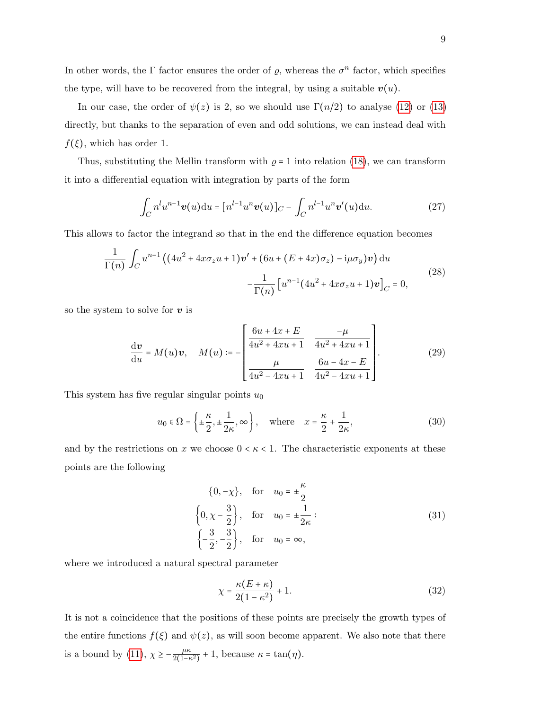In other words, the  $\Gamma$  factor ensures the order of  $\rho$ , whereas the  $\sigma^n$  factor, which specifies the type, will have to be recovered from the integral, by using a suitable  $v(u)$ .

In our case, the order of  $\psi(z)$  is 2, so we should use  $\Gamma(n/2)$  to analyse [\(12\)](#page-5-0) or [\(13\)](#page-5-1) directly, but thanks to the separation of even and odd solutions, we can instead deal with  $f(\xi)$ , which has order 1.

Thus, substituting the Mellin transform with  $\rho = 1$  into relation [\(18\)](#page-6-4), we can transform it into a differential equation with integration by parts of the form

$$
\int_C n^l u^{n-1} \boldsymbol{v}(u) \mathrm{d}u = [n^{l-1} u^n \boldsymbol{v}(u)]_C - \int_C n^{l-1} u^n \boldsymbol{v}'(u) \mathrm{d}u. \tag{27}
$$

This allows to factor the integrand so that in the end the difference equation becomes

<span id="page-8-0"></span>
$$
\frac{1}{\Gamma(n)} \int_C u^{n-1} \left( (4u^2 + 4x\sigma_z u + 1) v' + (6u + (E + 4x)\sigma_z) - i\mu \sigma_y \right) v \, du
$$
\n
$$
- \frac{1}{\Gamma(n)} \left[ u^{n-1} (4u^2 + 4x\sigma_z u + 1) v \right]_C = 0,
$$
\n(28)

so the system to solve for  $v$  is

<span id="page-8-1"></span>
$$
\frac{d\mathbf{v}}{du} = M(u)\mathbf{v}, \quad M(u) := -\begin{bmatrix} \frac{6u + 4x + E}{4u^2 + 4xu + 1} & \frac{-\mu}{4u^2 + 4xu + 1} \\ \frac{\mu}{4u^2 - 4xu + 1} & \frac{6u - 4x - E}{4u^2 - 4xu + 1} \end{bmatrix}.
$$
(29)

This system has five regular singular points  $u_0$ 

$$
u_0 \in \Omega = \left\{ \pm \frac{\kappa}{2}, \pm \frac{1}{2\kappa}, \infty \right\}, \quad \text{where} \quad x = \frac{\kappa}{2} + \frac{1}{2\kappa},
$$
 (30)

and by the restrictions on x we choose  $0 \lt k \lt 1$ . The characteristic exponents at these points are the following

$$
\{0, -\chi\}, \quad \text{for} \quad u_0 = \pm \frac{\kappa}{2}
$$
\n
$$
\left\{0, \chi - \frac{3}{2}\right\}, \quad \text{for} \quad u_0 = \pm \frac{1}{2\kappa}:
$$
\n
$$
\left\{-\frac{3}{2}, -\frac{3}{2}\right\}, \quad \text{for} \quad u_0 = \infty,
$$
\n(31)

where we introduced a natural spectral parameter

$$
\chi = \frac{\kappa (E + \kappa)}{2(1 - \kappa^2)} + 1.
$$
\n(32)

It is not a coincidence that the positions of these points are precisely the growth types of the entire functions  $f(\xi)$  and  $\psi(z)$ , as will soon become apparent. We also note that there is a bound by [\(11\)](#page-4-0),  $\chi \ge -\frac{\mu \kappa}{2(1-\kappa)}$  $\frac{\mu\kappa}{2(1-\kappa^2)}+1$ , because  $\kappa = \tan(\eta)$ .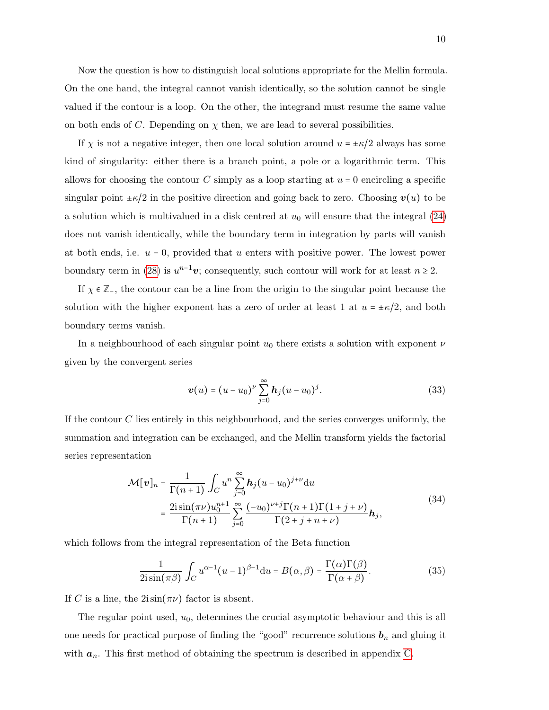Now the question is how to distinguish local solutions appropriate for the Mellin formula. On the one hand, the integral cannot vanish identically, so the solution cannot be single valued if the contour is a loop. On the other, the integrand must resume the same value on both ends of C. Depending on  $\chi$  then, we are lead to several possibilities.

If  $\chi$  is not a negative integer, then one local solution around  $u = \pm \kappa/2$  always has some kind of singularity: either there is a branch point, a pole or a logarithmic term. This allows for choosing the contour C simply as a loop starting at  $u = 0$  encircling a specific singular point  $\pm \kappa/2$  in the positive direction and going back to zero. Choosing  $v(u)$  to be a solution which is multivalued in a disk centred at  $u_0$  will ensure that the integral  $(24)$ does not vanish identically, while the boundary term in integration by parts will vanish at both ends, i.e.  $u = 0$ , provided that u enters with positive power. The lowest power boundary term in [\(28\)](#page-8-0) is  $u^{n-1}v$ ; consequently, such contour will work for at least  $n \ge 2$ .

If  $\chi \in \mathbb{Z}$ , the contour can be a line from the origin to the singular point because the solution with the higher exponent has a zero of order at least 1 at  $u = \pm \kappa/2$ , and both boundary terms vanish.

In a neighbourhood of each singular point  $u_0$  there exists a solution with exponent  $\nu$ given by the convergent series

<span id="page-9-1"></span>
$$
\boldsymbol{v}(u) = (u - u_0)^{\nu} \sum_{j=0}^{\infty} \boldsymbol{h}_j (u - u_0)^j.
$$
 (33)

If the contour  $C$  lies entirely in this neighbourhood, and the series converges uniformly, the summation and integration can be exchanged, and the Mellin transform yields the factorial series representation

$$
\mathcal{M}[v]_n = \frac{1}{\Gamma(n+1)} \int_C u^n \sum_{j=0}^{\infty} \mathbf{h}_j (u - u_0)^{j+\nu} du
$$
  
= 
$$
\frac{2i \sin(\pi \nu) u_0^{n+1}}{\Gamma(n+1)} \sum_{j=0}^{\infty} \frac{(-u_0)^{\nu+j} \Gamma(n+1) \Gamma(1+j+\nu)}{\Gamma(2+j+n+\nu)} \mathbf{h}_j,
$$
 (34)

<span id="page-9-0"></span>which follows from the integral representation of the Beta function

$$
\frac{1}{2i\sin(\pi\beta)}\int_C u^{\alpha-1}(u-1)^{\beta-1}du = B(\alpha,\beta) = \frac{\Gamma(\alpha)\Gamma(\beta)}{\Gamma(\alpha+\beta)}.
$$
 (35)

If C is a line, the  $2i\sin(\pi\nu)$  factor is absent.

The regular point used,  $u_0$ , determines the crucial asymptotic behaviour and this is all one needs for practical purpose of finding the "good" recurrence solutions  $\mathbf{b}_n$  and gluing it with  $a_n$ . This first method of obtaining the spectrum is described in appendix [C.](#page-22-0)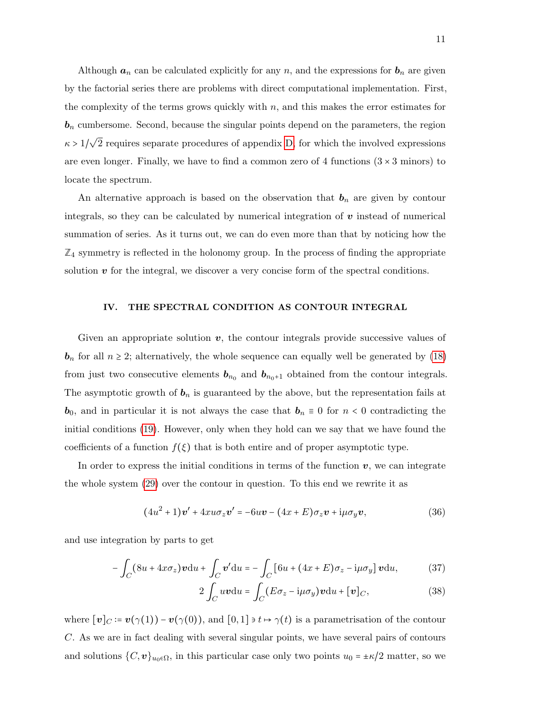Although  $a_n$  can be calculated explicitly for any n, and the expressions for  $b_n$  are given by the factorial series there are problems with direct computational implementation. First, the complexity of the terms grows quickly with  $n$ , and this makes the error estimates for  **cumbersome. Second, because the singular points depend on the parameters, the region**  $\kappa > 1/\sqrt{2}$  requires separate procedures of appendix [D,](#page-24-0) for which the involved expressions are even longer. Finally, we have to find a common zero of 4 functions  $(3 \times 3 \text{ minors})$  to locate the spectrum.

An alternative approach is based on the observation that  $\mathbf{b}_n$  are given by contour integrals, so they can be calculated by numerical integration of  $v$  instead of numerical summation of series. As it turns out, we can do even more than that by noticing how the **Z**<sup>4</sup> symmetry is reflected in the holonomy group. In the process of finding the appropriate solution  $\boldsymbol{v}$  for the integral, we discover a very concise form of the spectral conditions.

## <span id="page-10-0"></span>IV. THE SPECTRAL CONDITION AS CONTOUR INTEGRAL

Given an appropriate solution  $v$ , the contour integrals provide successive values of  $\mathbf{b}_n$  for all  $n \geq 2$ ; alternatively, the whole sequence can equally well be generated by [\(18\)](#page-6-4) from just two consecutive elements  $\mathbf{b}_{n_0}$  and  $\mathbf{b}_{n_0+1}$  obtained from the contour integrals. The asymptotic growth of  $\mathbf{b}_n$  is guaranteed by the above, but the representation fails at **, and in particular it is not always the case that**  $**b**<sub>n</sub> \equiv 0$  **for**  $n < 0$  **contradicting the** initial conditions [\(19\)](#page-6-1). However, only when they hold can we say that we have found the coefficients of a function  $f(\xi)$  that is both entire and of proper asymptotic type.

In order to express the initial conditions in terms of the function  $v$ , we can integrate the whole system [\(29\)](#page-8-1) over the contour in question. To this end we rewrite it as

$$
(4u2 + 1)v' + 4xu\sigma_z v' = -6uv - (4x + E)\sigma_z v + i\mu\sigma_y v,
$$
\n(36)

and use integration by parts to get

$$
-\int_C (8u+4x\sigma_z)\mathbf{v} \mathrm{d}u + \int_C \mathbf{v}' \mathrm{d}u = -\int_C \left[6u+(4x+E)\sigma_z - i\mu\sigma_y\right] \mathbf{v} \mathrm{d}u, \tag{37}
$$

<span id="page-10-1"></span>
$$
2\int_C uv \, du = \int_C (E\sigma_z - i\mu\sigma_y)v \, du + [v]_C,\tag{38}
$$

where  $[v]_C := v(\gamma(1)) - v(\gamma(0))$ , and  $[0,1] \ni t \mapsto \gamma(t)$  is a parametrisation of the contour C. As we are in fact dealing with several singular points, we have several pairs of contours and solutions  $\{C, v\}_{u_0 \in \Omega}$ , in this particular case only two points  $u_0 = \pm \kappa/2$  matter, so we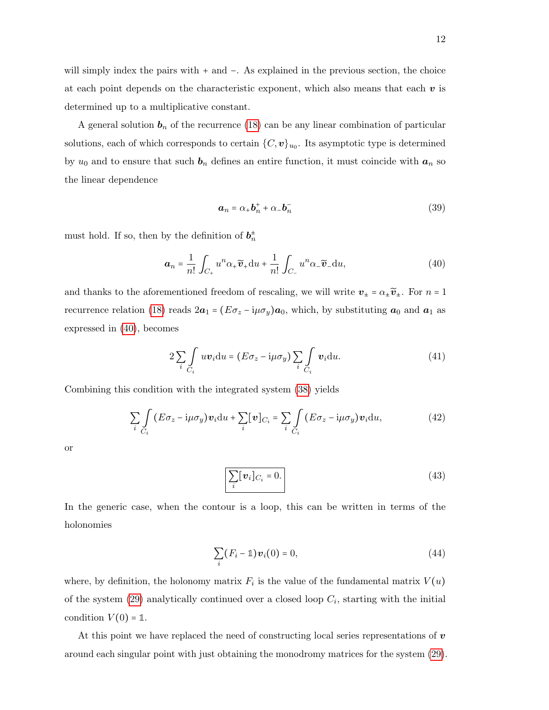will simply index the pairs with + and −. As explained in the previous section, the choice

at each point depends on the characteristic exponent, which also means that each  $v$  is determined up to a multiplicative constant.

A general solution  $b_n$  of the recurrence [\(18\)](#page-6-4) can be any linear combination of particular solutions, each of which corresponds to certain  ${C, v}_{u_0}$ . Its asymptotic type is determined by  $u_0$  and to ensure that such  $b_n$  defines an entire function, it must coincide with  $a_n$  so the linear dependence

$$
a_n = \alpha_+ b_n^+ + \alpha_- b_n^- \tag{39}
$$

must hold. If so, then by the definition of  $b_n^{\pm}$ 

<span id="page-11-0"></span>
$$
\boldsymbol{a}_n = \frac{1}{n!} \int_{C_+} u^n \alpha_+ \widetilde{\boldsymbol{v}}_+ \mathrm{d}u + \frac{1}{n!} \int_{C_-} u^n \alpha_- \widetilde{\boldsymbol{v}}_- \mathrm{d}u,\tag{40}
$$

and thanks to the aforementioned freedom of rescaling, we will write  $v_{\pm} = \alpha_{\pm} \tilde{v}_{\pm}$ . For  $n = 1$ recurrence relation [\(18\)](#page-6-4) reads  $2a_1 = (E\sigma_z - i\mu\sigma_y)a_0$ , which, by substituting  $a_0$  and  $a_1$  as expressed in [\(40\)](#page-11-0), becomes

$$
2\sum_{i}\int_{C_i}uv_i\mathrm{d}u = (E\sigma_z - i\mu\sigma_y)\sum_{i}\int_{C_i}v_i\mathrm{d}u.
$$
 (41)

Combining this condition with the integrated system [\(38\)](#page-10-1) yields

$$
\sum_{i} \int_{C_i} (E\sigma_z - i\mu\sigma_y) \mathbf{v}_i \mathrm{d}u + \sum_{i} [\mathbf{v}]_{C_i} = \sum_{i} \int_{C_i} (E\sigma_z - i\mu\sigma_y) \mathbf{v}_i \mathrm{d}u, \tag{42}
$$

or

<span id="page-11-1"></span>
$$
\sum_{i} [\boldsymbol{v}_i]_{C_i} = 0. \tag{43}
$$

In the generic case, when the contour is a loop, this can be written in terms of the holonomies

$$
\sum_{i} (F_i - 1) \mathbf{v}_i(0) = 0, \tag{44}
$$

where, by definition, the holonomy matrix  $F_i$  is the value of the fundamental matrix  $V(u)$ of the system  $(29)$  analytically continued over a closed loop  $C_i$ , starting with the initial condition  $V(0) = \mathbb{1}$ .

At this point we have replaced the need of constructing local series representations of  $\boldsymbol{v}$ around each singular point with just obtaining the monodromy matrices for the system [\(29\)](#page-8-1).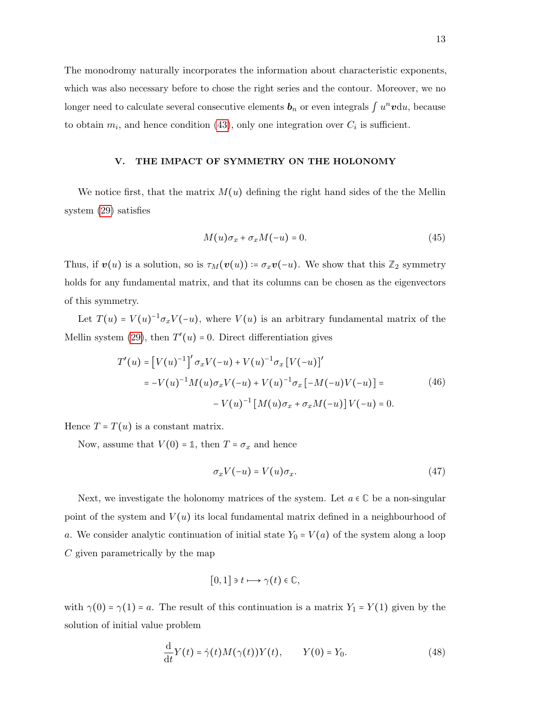The monodromy naturally incorporates the information about characteristic exponents, which was also necessary before to chose the right series and the contour. Moreover, we no longer need to calculate several consecutive elements  $\mathbf{b}_n$  or even integrals  $\int u^n \mathbf{v} \mathrm{d}u$ , because to obtain  $m_i$ , and hence condition [\(43\)](#page-11-1), only one integration over  $C_i$  is sufficient.

## <span id="page-12-0"></span>V. THE IMPACT OF SYMMETRY ON THE HOLONOMY

We notice first, that the matrix  $M(u)$  defining the right hand sides of the the Mellin system [\(29\)](#page-8-1) satisfies

<span id="page-12-2"></span>
$$
M(u)\sigma_x + \sigma_x M(-u) = 0.
$$
\n(45)

Thus, if  $v(u)$  is a solution, so is  $\tau_M(v(u)) \coloneqq \sigma_x v(-u)$ . We show that this  $\mathbb{Z}_2$  symmetry holds for any fundamental matrix, and that its columns can be chosen as the eigenvectors of this symmetry.

Let  $T(u) = V(u)^{-1} \sigma_x V(-u)$ , where  $V(u)$  is an arbitrary fundamental matrix of the Mellin system [\(29\)](#page-8-1), then  $T'(u) = 0$ . Direct differentiation gives

$$
T'(u) = [V(u)^{-1}]' \sigma_x V(-u) + V(u)^{-1} \sigma_x [V(-u)]'
$$
  
=  $-V(u)^{-1} M(u) \sigma_x V(-u) + V(u)^{-1} \sigma_x [-M(-u)V(-u)] =$   
 $-V(u)^{-1} [M(u) \sigma_x + \sigma_x M(-u)] V(-u) = 0.$  (46)

Hence  $T = T(u)$  is a constant matrix.

Now, assume that  $V(0) = \mathbb{1}$ , then  $T = \sigma_x$  and hence

$$
\sigma_x V(-u) = V(u)\sigma_x.
$$
\n(47)

Next, we investigate the holonomy matrices of the system. Let  $a \in \mathbb{C}$  be a non-singular point of the system and  $V(u)$  its local fundamental matrix defined in a neighbourhood of a. We consider analytic continuation of initial state  $Y_0 = V(a)$  of the system along a loop C given parametrically by the map

$$
[0,1]\ni t\longmapsto \gamma(t)\in\mathbb{C},
$$

with  $\gamma(0) = \gamma(1) = a$ . The result of this continuation is a matrix  $Y_1 = Y(1)$  given by the solution of initial value problem

<span id="page-12-1"></span>
$$
\frac{\mathrm{d}}{\mathrm{d}t}Y(t) = \dot{\gamma}(t)M(\gamma(t))Y(t), \qquad Y(0) = Y_0.
$$
\n(48)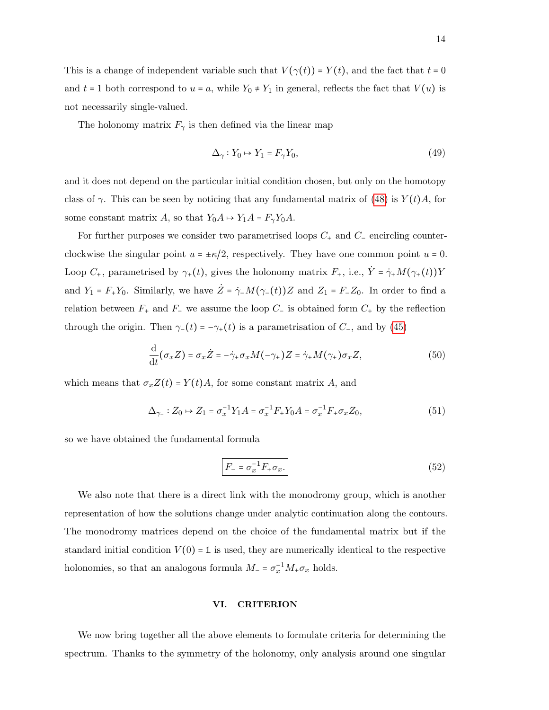This is a change of independent variable such that  $V(\gamma(t)) = Y(t)$ , and the fact that  $t = 0$ and  $t = 1$  both correspond to  $u = a$ , while  $Y_0 \neq Y_1$  in general, reflects the fact that  $V(u)$  is not necessarily single-valued.

The holonomy matrix  $F_{\gamma}$  is then defined via the linear map

$$
\Delta_{\gamma} : Y_0 \mapsto Y_1 = F_{\gamma} Y_0,\tag{49}
$$

and it does not depend on the particular initial condition chosen, but only on the homotopy class of  $\gamma$ . This can be seen by noticing that any fundamental matrix of [\(48\)](#page-12-1) is  $Y(t)A$ , for some constant matrix A, so that  $Y_0A \rightarrow Y_1A = F_\gamma Y_0A$ .

For further purposes we consider two parametrised loops  $C_+$  and  $C_-$  encircling counterclockwise the singular point  $u = \pm \kappa/2$ , respectively. They have one common point  $u = 0$ . Loop  $C_+$ , parametrised by  $\gamma_+(t)$ , gives the holonomy matrix  $F_+$ , i.e.,  $\dot{Y} = \dot{\gamma}_+ M(\gamma_+(t))Y$ and  $Y_1 = F_+Y_0$ . Similarly, we have  $\dot{Z} = \dot{\gamma}_-M(\gamma_-(t))Z$  and  $Z_1 = F_-Z_0$ . In order to find a relation between  $F_+$  and  $F_-\,$  we assume the loop  $C_-\,$  is obtained form  $C_+\,$  by the reflection through the origin. Then  $\gamma_-(t) = -\gamma_+(t)$  is a parametrisation of  $C_$ , and by [\(45\)](#page-12-2)

$$
\frac{\mathrm{d}}{\mathrm{d}t}(\sigma_x Z) = \sigma_x \dot{Z} = -\dot{\gamma}_+ \sigma_x M(-\gamma_+) Z = \dot{\gamma}_+ M(\gamma_+) \sigma_x Z,\tag{50}
$$

which means that  $\sigma_x Z(t) = Y(t)A$ , for some constant matrix A, and

$$
\Delta_{\gamma_-}: Z_0 \mapsto Z_1 = \sigma_x^{-1} Y_1 A = \sigma_x^{-1} F_+ Y_0 A = \sigma_x^{-1} F_+ \sigma_x Z_0,
$$
\n(51)

so we have obtained the fundamental formula

<span id="page-13-1"></span>
$$
F_{-} = \sigma_x^{-1} F_{+} \sigma_x. \tag{52}
$$

We also note that there is a direct link with the monodromy group, which is another representation of how the solutions change under analytic continuation along the contours. The monodromy matrices depend on the choice of the fundamental matrix but if the standard initial condition  $V(0) = 1$  is used, they are numerically identical to the respective holonomies, so that an analogous formula  $M = \sigma_x^{-1} M_+ \sigma_x$  holds.

# <span id="page-13-0"></span>VI. CRITERION

We now bring together all the above elements to formulate criteria for determining the spectrum. Thanks to the symmetry of the holonomy, only analysis around one singular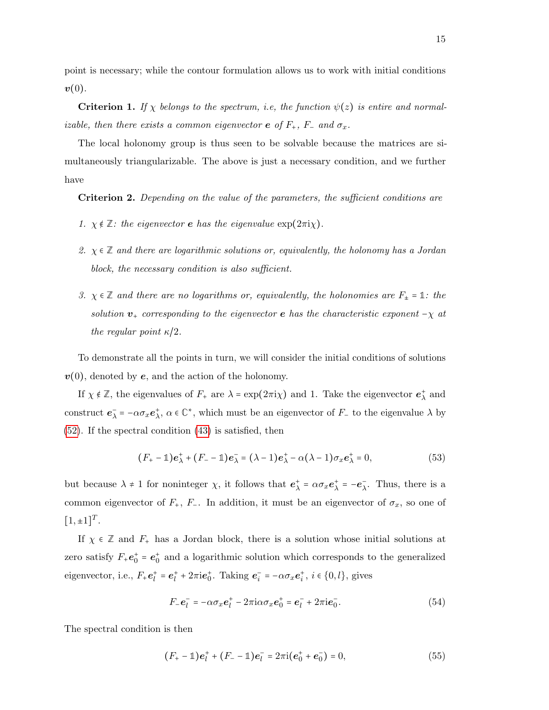point is necessary; while the contour formulation allows us to work with initial conditions  $\boldsymbol{v}(0)$ .

**Criterion 1.** If  $\chi$  belongs to the spectrum, i.e, the function  $\psi(z)$  is entire and normalizable, then there exists a common eigenvector **e** of  $F_+$ ,  $F_-$  and  $\sigma_x$ .

The local holonomy group is thus seen to be solvable because the matrices are simultaneously triangularizable. The above is just a necessary condition, and we further have

Criterion 2. Depending on the value of the parameters, the sufficient conditions are

- 1.  $\chi \notin \mathbb{Z}$ : the eigenvector **e** has the eigenvalue  $\exp(2\pi i \chi)$ .
- 2.  $\chi \in \mathbb{Z}$  and there are logarithmic solutions or, equivalently, the holonomy has a Jordan block, the necessary condition is also sufficient.
- 3.  $\chi \in \mathbb{Z}$  and there are no logarithms or, equivalently, the holonomies are  $F_{\pm} = \mathbb{1}$ : the solution  $v_+$  corresponding to the eigenvector e has the characteristic exponent  $-\chi$  at the regular point  $\kappa/2$ .

To demonstrate all the points in turn, we will consider the initial conditions of solutions  $v(0)$ , denoted by e, and the action of the holonomy.

If  $\chi \notin \mathbb{Z}$ , the eigenvalues of  $F_+$  are  $\lambda = \exp(2\pi i \chi)$  and 1. Take the eigenvector  $e^+_{\lambda}$  and construct  $\mathbf{e}_{\lambda}^- = -\alpha \sigma_x \mathbf{e}_{\lambda}^+$ ,  $\alpha \in \mathbb{C}^*$ , which must be an eigenvector of  $F_-$  to the eigenvalue  $\lambda$  by [\(52\)](#page-13-1). If the spectral condition [\(43\)](#page-11-1) is satisfied, then

$$
(F_{+} - \mathbb{1})\boldsymbol{e}_{\lambda}^{+} + (F_{-} - \mathbb{1})\boldsymbol{e}_{\lambda}^{-} = (\lambda - 1)\boldsymbol{e}_{\lambda}^{+} - \alpha(\lambda - 1)\sigma_{x}\boldsymbol{e}_{\lambda}^{+} = 0, \qquad (53)
$$

but because  $\lambda \neq 1$  for noninteger  $\chi$ , it follows that  $e^+_{\lambda} = \alpha \sigma_x e^+_{\lambda} = -e^-_{\lambda}$ . Thus, there is a common eigenvector of  $F_+$ ,  $F_-$ . In addition, it must be an eigenvector of  $\sigma_x$ , so one of  $[1, \pm 1]^T$ .

If  $\chi \in \mathbb{Z}$  and  $F_{+}$  has a Jordan block, there is a solution whose initial solutions at zero satisfy  $F_+e_0^+ = e_0^+$  and a logarithmic solution which corresponds to the generalized eigenvector, i.e.,  $F_{+}e_l^+ = e_l^+ + 2\pi i e_0^+$ . Taking  $e_i^- = -\alpha \sigma_x e_i^+$ ,  $i \in \{0, l\}$ , gives

$$
F_{-}\mathbf{e}_{l}^{-}=-\alpha\sigma_{x}\mathbf{e}_{l}^{+}-2\pi i\alpha\sigma_{x}\mathbf{e}_{0}^{+}=\mathbf{e}_{l}^{-}+2\pi i\mathbf{e}_{0}^{-}.
$$
\n
$$
\tag{54}
$$

The spectral condition is then

$$
(F_{+} - \mathbb{1})\boldsymbol{e}_{l}^{+} + (F_{-} - \mathbb{1})\boldsymbol{e}_{l}^{-} = 2\pi i(\boldsymbol{e}_{0}^{+} + \boldsymbol{e}_{0}^{-}) = 0, \qquad (55)
$$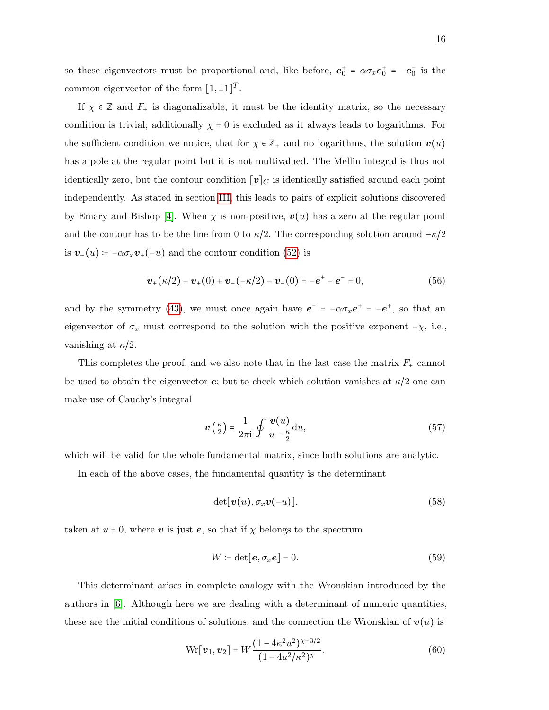so these eigenvectors must be proportional and, like before,  $e_0^+ = \alpha \sigma_x e_0^+ = -e_0^-$  is the common eigenvector of the form  $[1, \pm 1]^T$ .

If  $\chi \in \mathbb{Z}$  and  $F_+$  is diagonalizable, it must be the identity matrix, so the necessary condition is trivial; additionally  $\chi = 0$  is excluded as it always leads to logarithms. For the sufficient condition we notice, that for  $\chi \in \mathbb{Z}_+$  and no logarithms, the solution  $v(u)$ has a pole at the regular point but it is not multivalued. The Mellin integral is thus not identically zero, but the contour condition  $[v]_C$  is identically satisfied around each point independently. As stated in section [III,](#page-7-0) this leads to pairs of explicit solutions discovered by Emary and Bishop [\[4\]](#page-26-4). When  $\chi$  is non-positive,  $v(u)$  has a zero at the regular point and the contour has to be the line from 0 to  $\kappa/2$ . The corresponding solution around  $-\kappa/2$ is  $v_-(u) = -\alpha \sigma_x v_+(-u)$  and the contour condition [\(52\)](#page-13-1) is

$$
\boldsymbol{v}_{+}(\kappa/2) - \boldsymbol{v}_{+}(0) + \boldsymbol{v}_{-}(-\kappa/2) - \boldsymbol{v}_{-}(0) = -\boldsymbol{e}^{+} - \boldsymbol{e}^{-} = 0, \qquad (56)
$$

and by the symmetry [\(43\)](#page-11-1), we must once again have  $e^- = -\alpha \sigma_x e^+ = -e^+$ , so that an eigenvector of  $\sigma_x$  must correspond to the solution with the positive exponent  $-\chi$ , i.e., vanishing at  $\kappa/2$ .

This completes the proof, and we also note that in the last case the matrix  $F_{+}$  cannot be used to obtain the eigenvector  $\epsilon$ ; but to check which solution vanishes at  $\kappa/2$  one can make use of Cauchy's integral

<span id="page-15-0"></span>
$$
\boldsymbol{v}\left(\frac{\kappa}{2}\right) = \frac{1}{2\pi i} \oint \frac{\boldsymbol{v}(u)}{u - \frac{\kappa}{2}} du,\tag{57}
$$

which will be valid for the whole fundamental matrix, since both solutions are analytic.

In each of the above cases, the fundamental quantity is the determinant

$$
\det[\boldsymbol{v}(u), \sigma_x \boldsymbol{v}(-u)],\tag{58}
$$

taken at  $u = 0$ , where v is just e, so that if  $\chi$  belongs to the spectrum

$$
W \coloneqq \det[\mathbf{e}, \sigma_x \mathbf{e}] = 0. \tag{59}
$$

This determinant arises in complete analogy with the Wronskian introduced by the authors in  $[6]$ . Although here we are dealing with a determinant of numeric quantities, these are the initial conditions of solutions, and the connection the Wronskian of  $v(u)$  is

$$
Wr[v_1, v_2] = W \frac{(1 - 4\kappa^2 u^2)^{\chi - 3/2}}{(1 - 4u^2/\kappa^2)^{\chi}}.
$$
\n(60)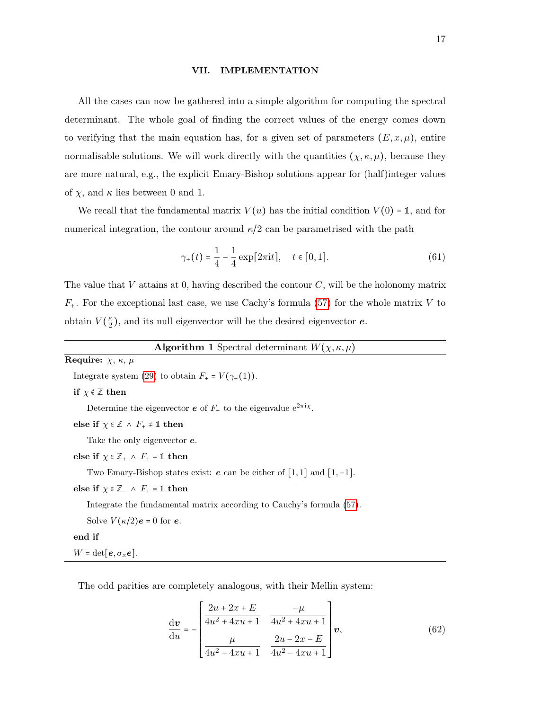#### <span id="page-16-0"></span>VII. IMPLEMENTATION

All the cases can now be gathered into a simple algorithm for computing the spectral determinant. The whole goal of finding the correct values of the energy comes down to verifying that the main equation has, for a given set of parameters  $(E, x, \mu)$ , entire normalisable solutions. We will work directly with the quantities  $(\chi, \kappa, \mu)$ , because they are more natural, e.g., the explicit Emary-Bishop solutions appear for (half)integer values of  $\chi$ , and  $\kappa$  lies between 0 and 1.

We recall that the fundamental matrix  $V(u)$  has the initial condition  $V(0) = 1$ , and for numerical integration, the contour around  $\kappa/2$  can be parametrised with the path

$$
\gamma_{+}(t) = \frac{1}{4} - \frac{1}{4} \exp[2\pi \mathrm{i}t], \quad t \in [0, 1]. \tag{61}
$$

The value that V attains at 0, having described the contour  $C$ , will be the holonomy matrix  $F_{+}$ . For the exceptional last case, we use Cachy's formula [\(57\)](#page-15-0) for the whole matrix V to obtain  $V(\frac{\kappa}{2})$  $\frac{\kappa}{2}$ , and its null eigenvector will be the desired eigenvector **e**.

| <b>Algorithm 1</b> Spectral determinant $W(\chi,\kappa,\mu)$ |  |  |  |
|--------------------------------------------------------------|--|--|--|
|                                                              |  |  |  |

<span id="page-16-1"></span>Require:  $\chi$ ,  $\kappa$ ,  $\mu$ Integrate system [\(29\)](#page-8-1) to obtain  $F_+ = V(\gamma_+(1)).$ if  $\chi \notin \mathbb{Z}$  then Determine the eigenvector  $e$  of  $F_+$  to the eigenvalue  $e^{2\pi i \chi}$ . else if  $\chi \in \mathbb{Z} \wedge F_+ \neq \mathbb{1}$  then Take the only eigenvector e. else if  $\chi \in \mathbb{Z}_+$   $\wedge$   $F_+$  = 1 then Two Emary-Bishop states exist:  $e$  can be either of [1, 1] and [1, -1]. else if  $\chi \in \mathbb{Z}_-$  ∧  $F_+ = \mathbb{1}$  then Integrate the fundamental matrix according to Cauchy's formula [\(57\)](#page-15-0). Solve  $V(\kappa/2)e = 0$  for  $e$ . end if

 $W = det[{\bf e}, \sigma_x {\bf e}].$ 

The odd parities are completely analogous, with their Mellin system:

$$
\frac{d\mathbf{v}}{du} = -\begin{bmatrix} \frac{2u + 2x + E}{4u^2 + 4xu + 1} & \frac{-\mu}{4u^2 + 4xu + 1} \\ \frac{\mu}{4u^2 - 4xu + 1} & \frac{2u - 2x - E}{4u^2 - 4xu + 1} \end{bmatrix} \mathbf{v},\tag{62}
$$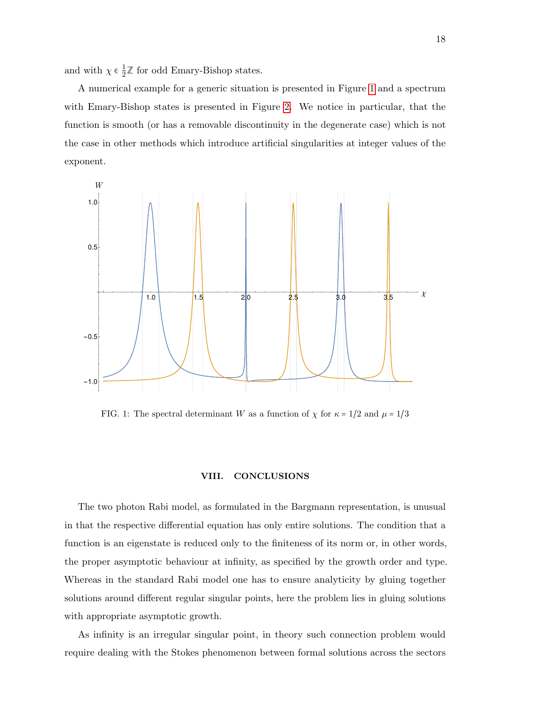and with  $\chi \in \frac{1}{2}$  $\frac{1}{2}\mathbb{Z}$  for odd Emary-Bishop states.

A numerical example for a generic situation is presented in Figure [1](#page-17-0) and a spectrum with Emary-Bishop states is presented in Figure [2.](#page-18-0) We notice in particular, that the function is smooth (or has a removable discontinuity in the degenerate case) which is not the case in other methods which introduce artificial singularities at integer values of the exponent.



<span id="page-17-0"></span>FIG. 1: The spectral determinant W as a function of  $\chi$  for  $\kappa = 1/2$  and  $\mu = 1/3$ 

# VIII. CONCLUSIONS

The two photon Rabi model, as formulated in the Bargmann representation, is unusual in that the respective differential equation has only entire solutions. The condition that a function is an eigenstate is reduced only to the finiteness of its norm or, in other words, the proper asymptotic behaviour at infinity, as specified by the growth order and type. Whereas in the standard Rabi model one has to ensure analyticity by gluing together solutions around different regular singular points, here the problem lies in gluing solutions with appropriate asymptotic growth.

As infinity is an irregular singular point, in theory such connection problem would require dealing with the Stokes phenomenon between formal solutions across the sectors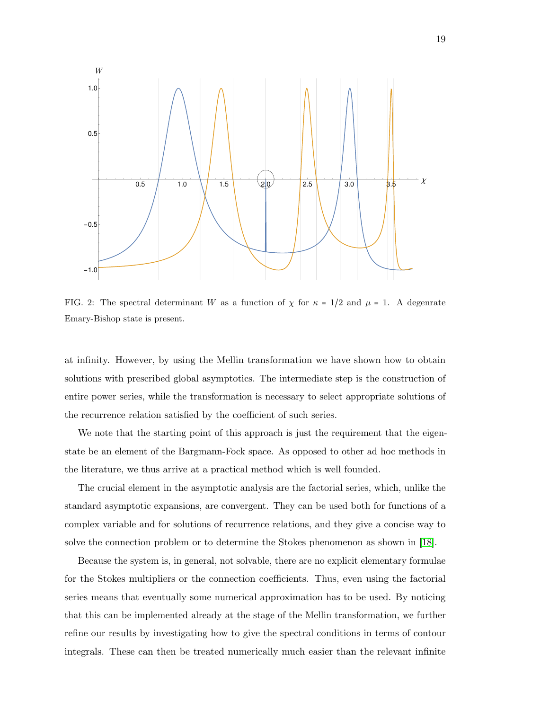

<span id="page-18-0"></span>FIG. 2: The spectral determinant W as a function of  $\chi$  for  $\kappa = 1/2$  and  $\mu = 1$ . A degenrate Emary-Bishop state is present.

at infinity. However, by using the Mellin transformation we have shown how to obtain solutions with prescribed global asymptotics. The intermediate step is the construction of entire power series, while the transformation is necessary to select appropriate solutions of the recurrence relation satisfied by the coefficient of such series.

We note that the starting point of this approach is just the requirement that the eigenstate be an element of the Bargmann-Fock space. As opposed to other ad hoc methods in the literature, we thus arrive at a practical method which is well founded.

The crucial element in the asymptotic analysis are the factorial series, which, unlike the standard asymptotic expansions, are convergent. They can be used both for functions of a complex variable and for solutions of recurrence relations, and they give a concise way to solve the connection problem or to determine the Stokes phenomenon as shown in [\[18\]](#page-27-4).

Because the system is, in general, not solvable, there are no explicit elementary formulae for the Stokes multipliers or the connection coefficients. Thus, even using the factorial series means that eventually some numerical approximation has to be used. By noticing that this can be implemented already at the stage of the Mellin transformation, we further refine our results by investigating how to give the spectral conditions in terms of contour integrals. These can then be treated numerically much easier than the relevant infinite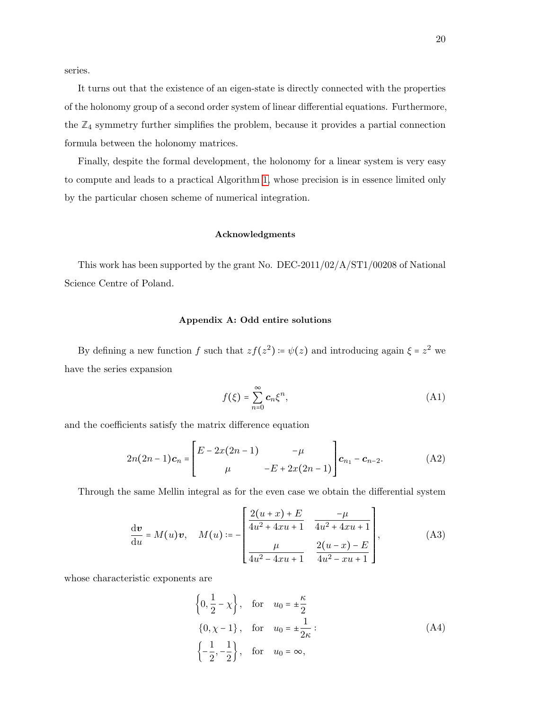series.

It turns out that the existence of an eigen-state is directly connected with the properties of the holonomy group of a second order system of linear differential equations. Furthermore, the  $\mathbb{Z}_4$  symmetry further simplifies the problem, because it provides a partial connection formula between the holonomy matrices.

Finally, despite the formal development, the holonomy for a linear system is very easy to compute and leads to a practical Algorithm [1,](#page-16-1) whose precision is in essence limited only by the particular chosen scheme of numerical integration.

# Acknowledgments

This work has been supported by the grant No. DEC-2011/02/A/ST1/00208 of National Science Centre of Poland.

# <span id="page-19-0"></span>Appendix A: Odd entire solutions

By defining a new function f such that  $zf(z^2) = \psi(z)$  and introducing again  $\xi = z^2$  we have the series expansion

$$
f(\xi) = \sum_{n=0}^{\infty} c_n \xi^n,
$$
 (A1)

and the coefficients satisfy the matrix difference equation

$$
2n(2n-1)c_n = \begin{bmatrix} E - 2x(2n-1) & -\mu \\ \mu & -E + 2x(2n-1) \end{bmatrix} c_{n_1} - c_{n-2}.
$$
 (A2)

Through the same Mellin integral as for the even case we obtain the differential system

$$
\frac{d\mathbf{v}}{du} = M(u)\mathbf{v}, \quad M(u) := -\begin{bmatrix} \frac{2(u+x)+E}{4u^2+4xu+1} & \frac{-\mu}{4u^2+4xu+1} \\ \frac{\mu}{4u^2-4xu+1} & \frac{2(u-x)-E}{4u^2-xu+1} \end{bmatrix},
$$
(A3)

whose characteristic exponents are

$$
\left\{0, \frac{1}{2} - \chi\right\}, \quad \text{for} \quad u_0 = \pm \frac{\kappa}{2}
$$
\n
$$
\left\{0, \chi - 1\right\}, \quad \text{for} \quad u_0 = \pm \frac{1}{2\kappa}:
$$
\n
$$
\left\{-\frac{1}{2}, -\frac{1}{2}\right\}, \quad \text{for} \quad u_0 = \infty,
$$
\n(A4)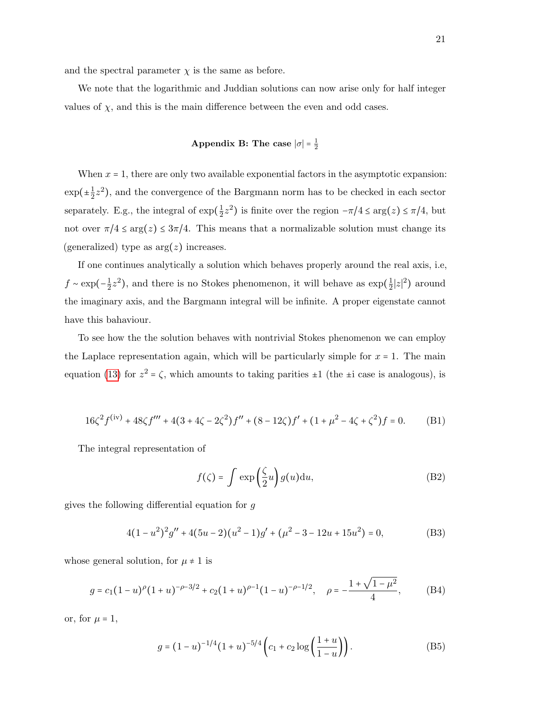and the spectral parameter  $\chi$  is the same as before.

We note that the logarithmic and Juddian solutions can now arise only for half integer values of  $\chi$ , and this is the main difference between the even and odd cases.

# <span id="page-20-0"></span>Appendix B: The case  $|\sigma| = \frac{1}{2}$

When  $x = 1$ , there are only two available exponential factors in the asymptotic expansion:  $\exp(\pm\frac{1}{2})$  $\frac{1}{2}z^2$ ), and the convergence of the Bargmann norm has to be checked in each sector separately. E.g., the integral of  $\exp(\frac{1}{2})$  $(\frac{1}{2}z^2)$  is finite over the region  $-\pi/4 \le \arg(z) \le \pi/4$ , but not over  $\pi/4 \le \arg(z) \le 3\pi/4$ . This means that a normalizable solution must change its (generalized) type as  $arg(z)$  increases.

If one continues analytically a solution which behaves properly around the real axis, i.e,  $f \sim \exp(-\frac{1}{2})$  $\frac{1}{2}z^2$ ), and there is no Stokes phenomenon, it will behave as  $\exp(\frac{1}{2}z)$  $\frac{1}{2}|z|^2$ ) around the imaginary axis, and the Bargmann integral will be infinite. A proper eigenstate cannot have this bahaviour.

To see how the the solution behaves with nontrivial Stokes phenomenon we can employ the Laplace representation again, which will be particularly simple for  $x = 1$ . The main equation [\(13\)](#page-5-1) for  $z^2 = \zeta$ , which amounts to taking parities  $\pm 1$  (the  $\pm i$  case is analogous), is

$$
16\zeta^2 f^{(iv)} + 48\zeta f''' + 4(3 + 4\zeta - 2\zeta^2)f'' + (8 - 12\zeta)f' + (1 + \mu^2 - 4\zeta + \zeta^2)f = 0.
$$
 (B1)

The integral representation of

$$
f(\zeta) = \int \exp\left(\frac{\zeta}{2}u\right)g(u)du,
$$
 (B2)

gives the following differential equation for g

$$
4(1 - u2)2g'' + 4(5u - 2)(u2 - 1)g' + (\mu2 - 3 - 12u + 15u2) = 0,
$$
 (B3)

whose general solution, for  $\mu \neq 1$  is

$$
g = c_1 (1 - u)^{\rho} (1 + u)^{-\rho - 3/2} + c_2 (1 + u)^{\rho - 1} (1 - u)^{-\rho - 1/2}, \quad \rho = -\frac{1 + \sqrt{1 - \mu^2}}{4},
$$
 (B4)

or, for  $\mu = 1$ ,

$$
g = (1 - u)^{-1/4} (1 + u)^{-5/4} \left( c_1 + c_2 \log \left( \frac{1 + u}{1 - u} \right) \right). \tag{B5}
$$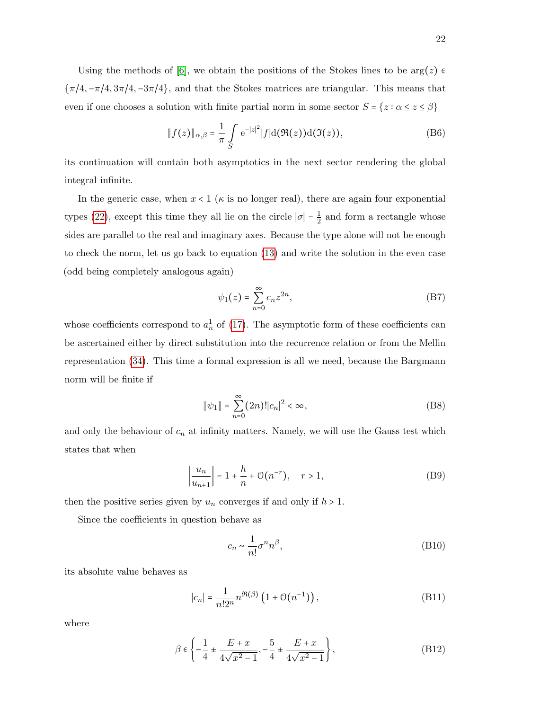Using the methods of [\[6\]](#page-26-6), we obtain the positions of the Stokes lines to be  $\arg(z) \in$  ${\pi/4, -\pi/4, 3\pi/4, -3\pi/4}$ , and that the Stokes matrices are triangular. This means that even if one chooses a solution with finite partial norm in some sector  $S = \{z : \alpha \leq z \leq \beta\}$ 

$$
||f(z)||_{\alpha,\beta} = \frac{1}{\pi} \int_{S} e^{-|z|^2} |f| d(\Re(z)) d(\Im(z)), \tag{B6}
$$

its continuation will contain both asymptotics in the next sector rendering the global integral infinite.

In the generic case, when  $x < 1$  ( $\kappa$  is no longer real), there are again four exponential types [\(22\)](#page-6-0), except this time they all lie on the circle  $|\sigma| = \frac{1}{2}$  $\frac{1}{2}$  and form a rectangle whose sides are parallel to the real and imaginary axes. Because the type alone will not be enough to check the norm, let us go back to equation [\(13\)](#page-5-1) and write the solution in the even case (odd being completely analogous again)

$$
\psi_1(z) = \sum_{n=0}^{\infty} c_n z^{2n},\tag{B7}
$$

whose coefficients correspond to  $a_n^1$  of [\(17\)](#page-6-3). The asymptotic form of these coefficients can be ascertained either by direct substitution into the recurrence relation or from the Mellin representation [\(34\)](#page-9-0). This time a formal expression is all we need, because the Bargmann norm will be finite if

$$
\|\psi_1\| = \sum_{n=0}^{\infty} (2n)! |c_n|^2 < \infty,\tag{B8}
$$

and only the behaviour of  $c_n$  at infinity matters. Namely, we will use the Gauss test which states that when

$$
\left|\frac{u_n}{u_{n+1}}\right| = 1 + \frac{h}{n} + \mathcal{O}(n^{-r}), \quad r > 1,
$$
 (B9)

then the positive series given by  $u_n$  converges if and only if  $h > 1$ .

Since the coefficients in question behave as

$$
c_n \sim \frac{1}{n!} \sigma^n n^\beta,
$$
\n(B10)

its absolute value behaves as

$$
|c_n| = \frac{1}{n!2^n} n^{\Re(\beta)} \left( 1 + \mathcal{O}(n^{-1}) \right),\tag{B11}
$$

where

$$
\beta \in \left\{ -\frac{1}{4} \pm \frac{E+x}{4\sqrt{x^2 - 1}}, -\frac{5}{4} \pm \frac{E+x}{4\sqrt{x^2 - 1}} \right\},\tag{B12}
$$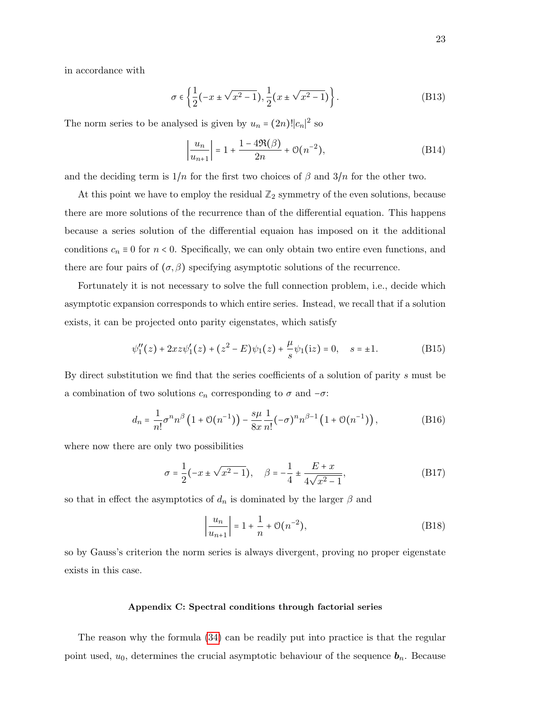in accordance with

$$
\sigma \in \left\{ \frac{1}{2}(-x \pm \sqrt{x^2 - 1}), \frac{1}{2}(x \pm \sqrt{x^2 - 1}) \right\}.
$$
 (B13)

The norm series to be analysed is given by  $u_n = (2n)! |c_n|^2$  so

$$
\left|\frac{u_n}{u_{n+1}}\right| = 1 + \frac{1 - 4\Re(\beta)}{2n} + \mathcal{O}(n^{-2}),\tag{B14}
$$

and the deciding term is  $1/n$  for the first two choices of  $\beta$  and  $3/n$  for the other two.

At this point we have to employ the residual  $\mathbb{Z}_2$  symmetry of the even solutions, because there are more solutions of the recurrence than of the differential equation. This happens because a series solution of the differential equaion has imposed on it the additional conditions  $c_n \equiv 0$  for  $n < 0$ . Specifically, we can only obtain two entire even functions, and there are four pairs of  $(\sigma, \beta)$  specifying asymptotic solutions of the recurrence.

Fortunately it is not necessary to solve the full connection problem, i.e., decide which asymptotic expansion corresponds to which entire series. Instead, we recall that if a solution exists, it can be projected onto parity eigenstates, which satisfy

$$
\psi_1''(z) + 2xz\psi_1'(z) + (z^2 - E)\psi_1(z) + \frac{\mu}{s}\psi_1(iz) = 0, \quad s = \pm 1.
$$
 (B15)

By direct substitution we find that the series coefficients of a solution of parity s must be a combination of two solutions  $c_n$  corresponding to  $\sigma$  and  $-\sigma$ :

$$
d_n = \frac{1}{n!} \sigma^n n^{\beta} \left( 1 + \mathcal{O}(n^{-1}) \right) - \frac{s\mu}{8x} \frac{1}{n!} (-\sigma)^n n^{\beta - 1} \left( 1 + \mathcal{O}(n^{-1}) \right), \tag{B16}
$$

where now there are only two possibilities

$$
\sigma = \frac{1}{2}(-x \pm \sqrt{x^2 - 1}), \quad \beta = -\frac{1}{4} \pm \frac{E + x}{4\sqrt{x^2 - 1}},
$$
 (B17)

so that in effect the asymptotics of  $d_n$  is dominated by the larger  $\beta$  and

$$
\left|\frac{u_n}{u_{n+1}}\right| = 1 + \frac{1}{n} + \mathcal{O}(n^{-2}),\tag{B18}
$$

so by Gauss's criterion the norm series is always divergent, proving no proper eigenstate exists in this case.

## <span id="page-22-0"></span>Appendix C: Spectral conditions through factorial series

The reason why the formula [\(34\)](#page-9-0) can be readily put into practice is that the regular point used,  $u_0$ , determines the crucial asymptotic behaviour of the sequence  $b_n$ . Because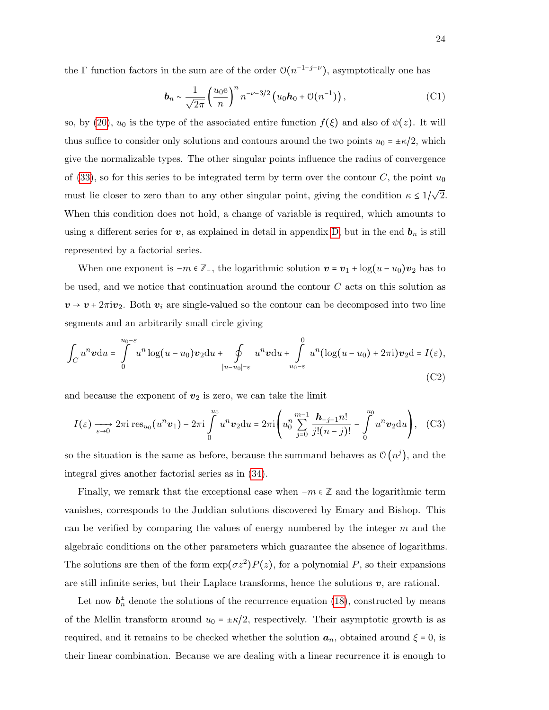the  $\Gamma$  function factors in the sum are of the order  $\mathcal{O}(n^{-1-j-\nu})$ , asymptotically one has

$$
\boldsymbol{b}_n \sim \frac{1}{\sqrt{2\pi}} \left(\frac{u_0 \mathbf{e}}{n}\right)^n n^{-\nu - 3/2} \left(u_0 \boldsymbol{h}_0 + \mathcal{O}(n^{-1})\right),\tag{C1}
$$

so, by [\(20\)](#page-6-2),  $u_0$  is the type of the associated entire function  $f(\xi)$  and also of  $\psi(z)$ . It will thus suffice to consider only solutions and contours around the two points  $u_0 = \pm \kappa/2$ , which give the normalizable types. The other singular points influence the radius of convergence of [\(33\)](#page-9-1), so for this series to be integrated term by term over the contour  $C$ , the point  $u_0$ must lie closer to zero than to any other singular point, giving the condition  $\kappa \leq 1/\sqrt{2}$ . When this condition does not hold, a change of variable is required, which amounts to using a different series for  $v$ , as explained in detail in appendix [D,](#page-24-0) but in the end  $b_n$  is still represented by a factorial series.

When one exponent is  $-m \in \mathbb{Z}_-$ , the logarithmic solution  $\mathbf{v} = \mathbf{v}_1 + \log(u - u_0)\mathbf{v}_2$  has to be used, and we notice that continuation around the contour  $C$  acts on this solution as  $v \rightarrow v + 2\pi i v_2$ . Both  $v_i$  are single-valued so the contour can be decomposed into two line segments and an arbitrarily small circle giving

$$
\int_C u^n \mathbf{v} \mathrm{d}u = \int\limits_0^{u_0-\varepsilon} u^n \log(u-u_0) \mathbf{v}_2 \mathrm{d}u + \oint\limits_{|u-u_0|=\varepsilon} u^n \mathbf{v} \mathrm{d}u + \int\limits_{u_0-\varepsilon}^0 u^n (\log(u-u_0) + 2\pi \mathbf{i}) \mathbf{v}_2 \mathrm{d} = I(\varepsilon),
$$
\n(C2)

and because the exponent of  $v_2$  is zero, we can take the limit

$$
I(\varepsilon) \xrightarrow[\varepsilon \to 0]{} 2\pi i \operatorname{res}_{u_0}(u^n \mathbf{v}_1) - 2\pi i \int_0^{u_0} u^n \mathbf{v}_2 \mathrm{d}u = 2\pi i \left( u_0^n \sum_{j=0}^{m-1} \frac{\mathbf{h}_{-j-1} n!}{j!(n-j)!} - \int_0^{u_0} u^n \mathbf{v}_2 \mathrm{d}u \right), \quad \text{(C3)}
$$

so the situation is the same as before, because the summand behaves as  $\mathcal{O}(n^j)$ , and the integral gives another factorial series as in [\(34\)](#page-9-0).

Finally, we remark that the exceptional case when  $-m \in \mathbb{Z}$  and the logarithmic term vanishes, corresponds to the Juddian solutions discovered by Emary and Bishop. This can be verified by comparing the values of energy numbered by the integer  $m$  and the algebraic conditions on the other parameters which guarantee the absence of logarithms. The solutions are then of the form  $\exp(\sigma z^2)P(z)$ , for a polynomial P, so their expansions are still infinite series, but their Laplace transforms, hence the solutions  $v$ , are rational.

Let now  $\mathbf{b}_n^{\pm}$  denote the solutions of the recurrence equation [\(18\)](#page-6-4), constructed by means of the Mellin transform around  $u_0 = \pm \kappa/2$ , respectively. Their asymptotic growth is as required, and it remains to be checked whether the solution  $a_n$ , obtained around  $\xi = 0$ , is their linear combination. Because we are dealing with a linear recurrence it is enough to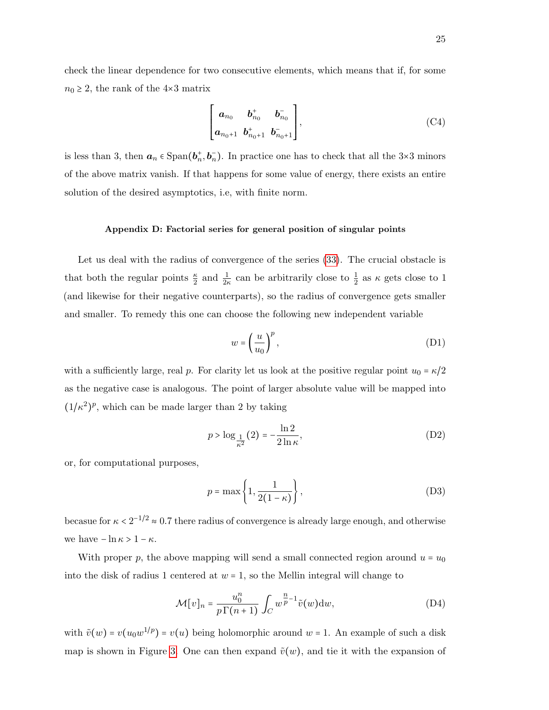check the linear dependence for two consecutive elements, which means that if, for some  $n_0 \geq 2$ , the rank of the 4×3 matrix

$$
\begin{bmatrix} a_{n_0} & b_{n_0}^+ & b_{n_0}^- \\ a_{n_0+1} & b_{n_0+1}^+ & b_{n_0+1}^- \end{bmatrix}, \tag{C4}
$$

is less than 3, then  $a_n \in \text{Span}(b_n^+, b_n^-)$ . In practice one has to check that all the 3×3 minors of the above matrix vanish. If that happens for some value of energy, there exists an entire solution of the desired asymptotics, i.e, with finite norm.

## <span id="page-24-0"></span>Appendix D: Factorial series for general position of singular points

Let us deal with the radius of convergence of the series  $(33)$ . The crucial obstacle is that both the regular points  $\frac{\kappa}{2}$  and  $\frac{1}{2\kappa}$  can be arbitrarily close to  $\frac{1}{2}$  as  $\kappa$  gets close to 1 (and likewise for their negative counterparts), so the radius of convergence gets smaller and smaller. To remedy this one can choose the following new independent variable

$$
w = \left(\frac{u}{u_0}\right)^p,\tag{D1}
$$

with a sufficiently large, real p. For clarity let us look at the positive regular point  $u_0 = \kappa/2$ as the negative case is analogous. The point of larger absolute value will be mapped into  $(1/\kappa^2)$  $\overline{\phantom{a}}$  $P$ , which can be made larger than 2 by taking

$$
p > \log_{\frac{1}{\kappa^2}}(2) = -\frac{\ln 2}{2\ln \kappa},\tag{D2}
$$

or, for computational purposes,

$$
p = \max\left\{1, \frac{1}{2(1-\kappa)}\right\},\tag{D3}
$$

becasue for  $\kappa < 2^{-1/2} \approx 0.7$  there radius of convergence is already large enough, and otherwise we have  $-\ln \kappa > 1 - \kappa$ .

With proper p, the above mapping will send a small connected region around  $u = u_0$ into the disk of radius 1 centered at  $w = 1$ , so the Mellin integral will change to

$$
\mathcal{M}[v]_n = \frac{u_0^n}{p\Gamma(n+1)} \int_C w^{\frac{n}{p}-1} \tilde{v}(w) \mathrm{d}w,\tag{D4}
$$

with  $\tilde{v}(w) = v(u_0 w^{1/p}) = v(u)$  being holomorphic around  $w = 1$ . An example of such a disk map is shown in Figure [3.](#page-25-0) One can then expand  $\tilde{v}(w)$ , and tie it with the expansion of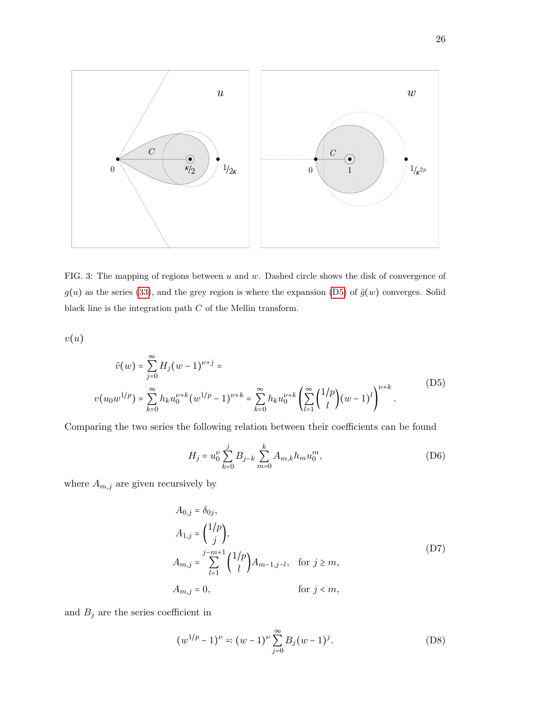

<span id="page-25-0"></span>FIG. 3: The mapping of regions between  $u$  and  $w$ . Dashed circle shows the disk of convergence of  $g(u)$  as the series [\(33\)](#page-9-1), and the grey region is where the expansion [\(D5\)](#page-25-1) of  $\tilde{g}(w)$  converges. Solid black line is the integration path  $C$  of the Mellin transform.

 $v(u)$ 

<span id="page-25-1"></span>
$$
\tilde{v}(w) = \sum_{j=0}^{\infty} H_j (w-1)^{\nu+j} =
$$
\n
$$
v(u_0 w^{1/p}) = \sum_{k=0}^{\infty} h_k u_0^{\nu+k} (w^{1/p} - 1)^{\nu+k} = \sum_{k=0}^{\infty} h_k u_0^{\nu+k} \left( \sum_{l=1}^{\infty} {\binom{1/p}{l}} (w-1)^l \right)^{\nu+k}.
$$
\n(D5)

Comparing the two series the following relation between their coefficients can be found

$$
H_j = u_0^{\nu} \sum_{k=0}^{j} B_{j-k} \sum_{m=0}^{k} A_{m,k} h_m u_0^m,
$$
 (D6)

where  $A_{m,j}$  are given recursively by

$$
A_{0,j} = \delta_{0j},
$$
  
\n
$$
A_{1,j} = \binom{1/p}{j},
$$
  
\n
$$
A_{m,j} = \sum_{l=1}^{j-m+1} \binom{1/p}{l} A_{m-1,j-l}, \text{ for } j \ge m,
$$
  
\n
$$
A_{m,j} = 0, \text{ for } j < m,
$$
\n(11)

and  $\mathcal{B}_j$  are the series coefficient in

$$
(w^{1/p} - 1)^{\nu} = (w - 1)^{\nu} \sum_{j=0}^{\infty} B_j (w - 1)^j.
$$
 (D8)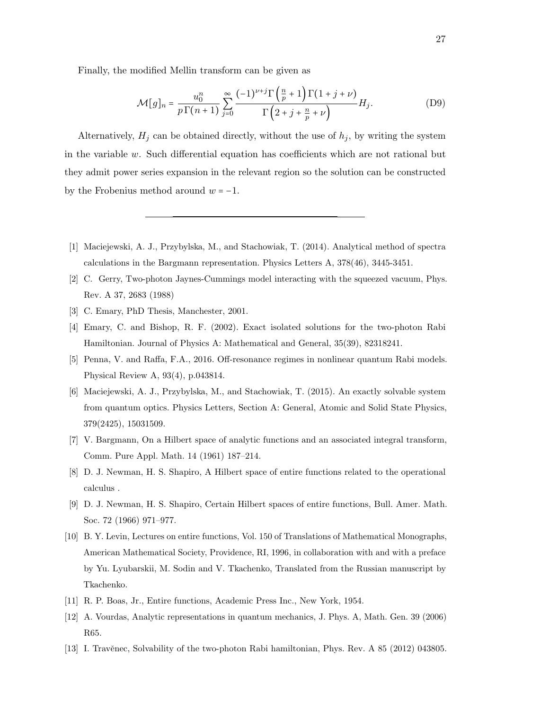Finally, the modified Mellin transform can be given as

$$
\mathcal{M}[g]_n = \frac{u_0^n}{p \Gamma(n+1)} \sum_{j=0}^{\infty} \frac{(-1)^{\nu+j} \Gamma\left(\frac{n}{p} + 1\right) \Gamma(1+j+\nu)}{\Gamma\left(2+j+\frac{n}{p}+\nu\right)} H_j. \tag{D9}
$$

Alternatively,  $H_j$  can be obtained directly, without the use of  $h_j$ , by writing the system in the variable w. Such differential equation has coefficients which are not rational but they admit power series expansion in the relevant region so the solution can be constructed by the Frobenius method around  $w = -1$ .

- <span id="page-26-0"></span>[1] Maciejewski, A. J., Przybylska, M., and Stachowiak, T. (2014). Analytical method of spectra calculations in the Bargmann representation. Physics Letters A, 378(46), 3445-3451.
- <span id="page-26-1"></span>[2] C. Gerry, Two-photon Jaynes-Cummings model interacting with the squeezed vacuum, Phys. Rev. A 37, 2683 (1988)
- <span id="page-26-4"></span><span id="page-26-3"></span>[3] C. Emary, PhD Thesis, Manchester, 2001.
- [4] Emary, C. and Bishop, R. F. (2002). Exact isolated solutions for the two-photon Rabi Hamiltonian. Journal of Physics A: Mathematical and General, 35(39), 82318241.
- <span id="page-26-2"></span>[5] Penna, V. and Raffa, F.A., 2016. Off-resonance regimes in nonlinear quantum Rabi models. Physical Review A, 93(4), p.043814.
- <span id="page-26-6"></span>[6] Maciejewski, A. J., Przybylska, M., and Stachowiak, T. (2015). An exactly solvable system from quantum optics. Physics Letters, Section A: General, Atomic and Solid State Physics, 379(2425), 15031509.
- <span id="page-26-7"></span>[7] V. Bargmann, On a Hilbert space of analytic functions and an associated integral transform, Comm. Pure Appl. Math. 14 (1961) 187–214.
- <span id="page-26-8"></span>[8] D. J. Newman, H. S. Shapiro, A Hilbert space of entire functions related to the operational calculus .
- <span id="page-26-9"></span>[9] D. J. Newman, H. S. Shapiro, Certain Hilbert spaces of entire functions, Bull. Amer. Math. Soc. 72 (1966) 971–977.
- <span id="page-26-10"></span>[10] B. Y. Levin, Lectures on entire functions, Vol. 150 of Translations of Mathematical Monographs, American Mathematical Society, Providence, RI, 1996, in collaboration with and with a preface by Yu. Lyubarskii, M. Sodin and V. Tkachenko, Translated from the Russian manuscript by Tkachenko.
- <span id="page-26-12"></span><span id="page-26-11"></span>[11] R. P. Boas, Jr., Entire functions, Academic Press Inc., New York, 1954.
- [12] A. Vourdas, Analytic representations in quantum mechanics, J. Phys. A, Math. Gen. 39 (2006) R65.
- <span id="page-26-5"></span>[13] I. Travěnec, Solvability of the two-photon Rabi hamiltonian, Phys. Rev. A 85 (2012) 043805.